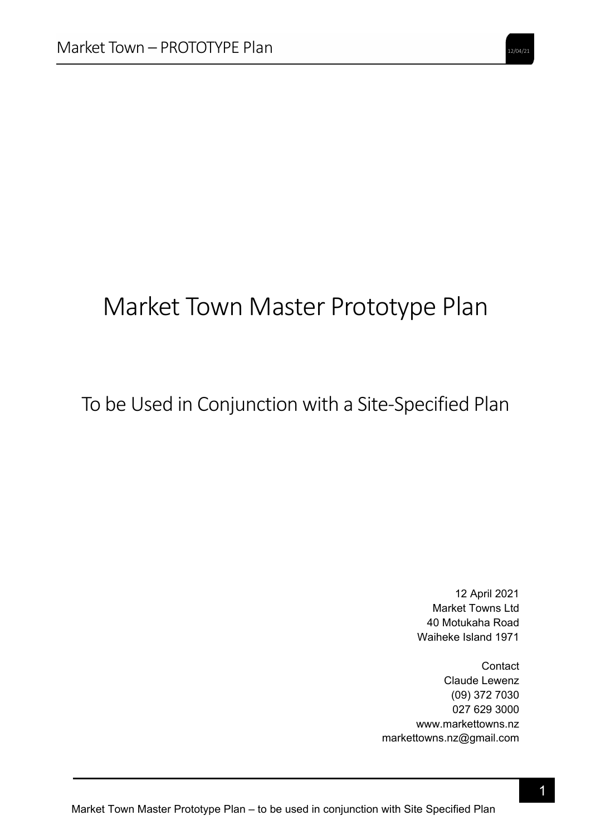# Market Town Master Prototype Plan

# To be Used in Conjunction with a Site‐Specified Plan

12 April 2021 Market Towns Ltd 40 Motukaha Road Waiheke Island 1971

**Contact** Claude Lewenz (09) 372 7030 027 629 3000 www.markettowns.nz markettowns.nz@gmail.com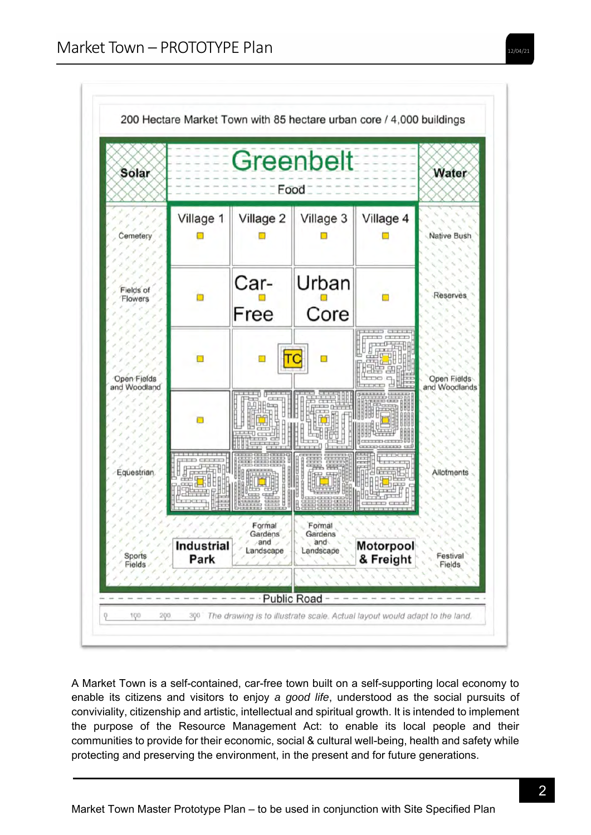

A Market Town is a self-contained, car-free town built on a self-supporting local economy to enable its citizens and visitors to enjoy *a good life*, understood as the social pursuits of conviviality, citizenship and artistic, intellectual and spiritual growth. It is intended to implement the purpose of the Resource Management Act: to enable its local people and their communities to provide for their economic, social & cultural well-being, health and safety while protecting and preserving the environment, in the present and for future generations.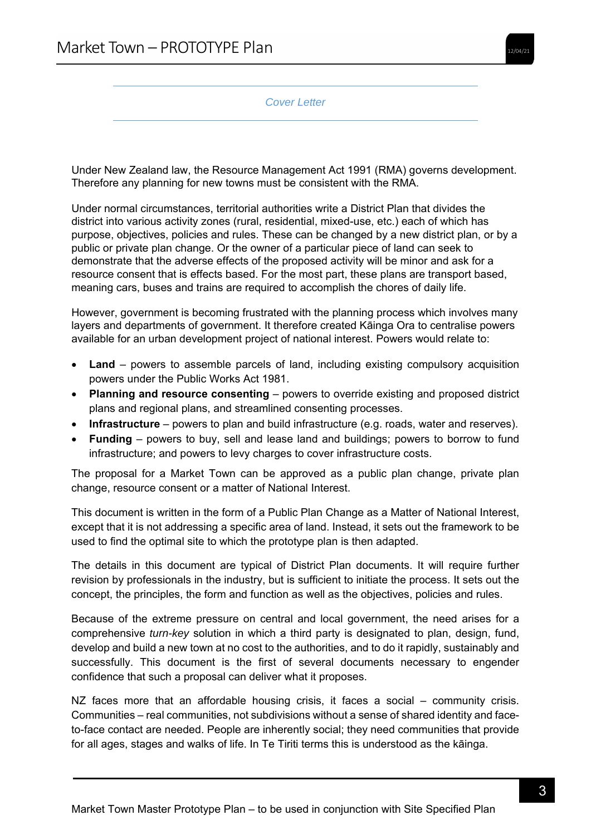*Cover Letter* 

Under New Zealand law, the Resource Management Act 1991 (RMA) governs development. Therefore any planning for new towns must be consistent with the RMA.

Under normal circumstances, territorial authorities write a District Plan that divides the district into various activity zones (rural, residential, mixed-use, etc.) each of which has purpose, objectives, policies and rules. These can be changed by a new district plan, or by a public or private plan change. Or the owner of a particular piece of land can seek to demonstrate that the adverse effects of the proposed activity will be minor and ask for a resource consent that is effects based. For the most part, these plans are transport based, meaning cars, buses and trains are required to accomplish the chores of daily life.

However, government is becoming frustrated with the planning process which involves many layers and departments of government. It therefore created Kāinga Ora to centralise powers available for an urban development project of national interest. Powers would relate to:

- **Land** powers to assemble parcels of land, including existing compulsory acquisition powers under the Public Works Act 1981.
- **Planning and resource consenting** powers to override existing and proposed district plans and regional plans, and streamlined consenting processes.
- **Infrastructure** powers to plan and build infrastructure (e.g. roads, water and reserves).
- **Funding** powers to buy, sell and lease land and buildings; powers to borrow to fund infrastructure; and powers to levy charges to cover infrastructure costs.

The proposal for a Market Town can be approved as a public plan change, private plan change, resource consent or a matter of National Interest.

This document is written in the form of a Public Plan Change as a Matter of National Interest, except that it is not addressing a specific area of land. Instead, it sets out the framework to be used to find the optimal site to which the prototype plan is then adapted.

The details in this document are typical of District Plan documents. It will require further revision by professionals in the industry, but is sufficient to initiate the process. It sets out the concept, the principles, the form and function as well as the objectives, policies and rules.

Because of the extreme pressure on central and local government, the need arises for a comprehensive *turn-key* solution in which a third party is designated to plan, design, fund, develop and build a new town at no cost to the authorities, and to do it rapidly, sustainably and successfully. This document is the first of several documents necessary to engender confidence that such a proposal can deliver what it proposes.

NZ faces more that an affordable housing crisis, it faces a social – community crisis. Communities – real communities, not subdivisions without a sense of shared identity and faceto-face contact are needed. People are inherently social; they need communities that provide for all ages, stages and walks of life. In Te Tiriti terms this is understood as the kāinga.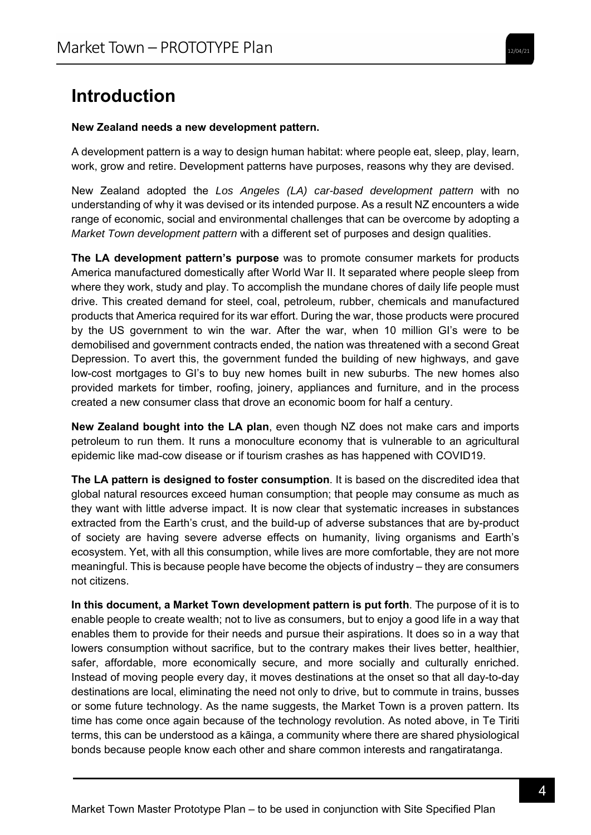# **Introduction**

#### **New Zealand needs a new development pattern.**

A development pattern is a way to design human habitat: where people eat, sleep, play, learn, work, grow and retire. Development patterns have purposes, reasons why they are devised.

New Zealand adopted the *Los Angeles (LA) car-based development pattern* with no understanding of why it was devised or its intended purpose. As a result NZ encounters a wide range of economic, social and environmental challenges that can be overcome by adopting a *Market Town development pattern* with a different set of purposes and design qualities.

**The LA development pattern's purpose** was to promote consumer markets for products America manufactured domestically after World War II. It separated where people sleep from where they work, study and play. To accomplish the mundane chores of daily life people must drive. This created demand for steel, coal, petroleum, rubber, chemicals and manufactured products that America required for its war effort. During the war, those products were procured by the US government to win the war. After the war, when 10 million GI's were to be demobilised and government contracts ended, the nation was threatened with a second Great Depression. To avert this, the government funded the building of new highways, and gave low-cost mortgages to GI's to buy new homes built in new suburbs. The new homes also provided markets for timber, roofing, joinery, appliances and furniture, and in the process created a new consumer class that drove an economic boom for half a century.

**New Zealand bought into the LA plan**, even though NZ does not make cars and imports petroleum to run them. It runs a monoculture economy that is vulnerable to an agricultural epidemic like mad-cow disease or if tourism crashes as has happened with COVID19.

**The LA pattern is designed to foster consumption**. It is based on the discredited idea that global natural resources exceed human consumption; that people may consume as much as they want with little adverse impact. It is now clear that systematic increases in substances extracted from the Earth's crust, and the build-up of adverse substances that are by-product of society are having severe adverse effects on humanity, living organisms and Earth's ecosystem. Yet, with all this consumption, while lives are more comfortable, they are not more meaningful. This is because people have become the objects of industry – they are consumers not citizens.

**In this document, a Market Town development pattern is put forth**. The purpose of it is to enable people to create wealth; not to live as consumers, but to enjoy a good life in a way that enables them to provide for their needs and pursue their aspirations. It does so in a way that lowers consumption without sacrifice, but to the contrary makes their lives better, healthier, safer, affordable, more economically secure, and more socially and culturally enriched. Instead of moving people every day, it moves destinations at the onset so that all day-to-day destinations are local, eliminating the need not only to drive, but to commute in trains, busses or some future technology. As the name suggests, the Market Town is a proven pattern. Its time has come once again because of the technology revolution. As noted above, in Te Tiriti terms, this can be understood as a kāinga, a community where there are shared physiological bonds because people know each other and share common interests and rangatiratanga.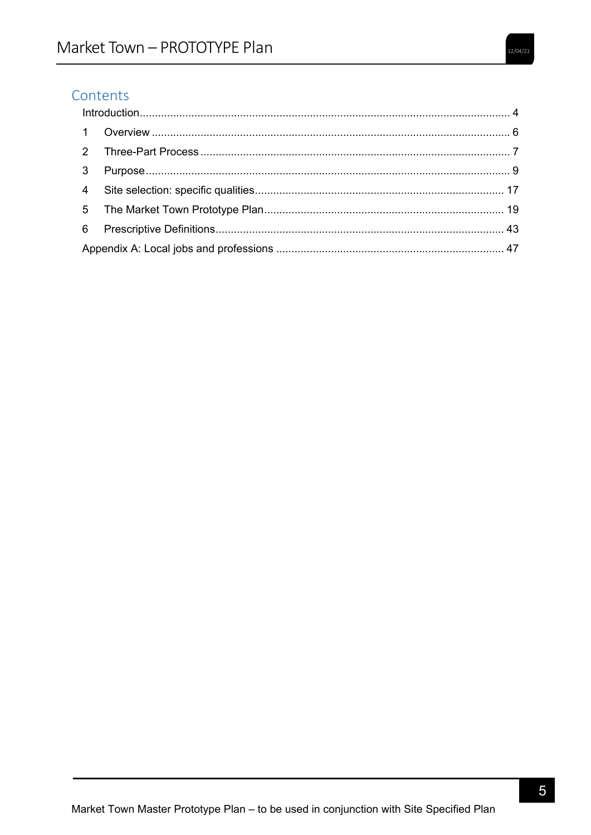|                | Contents |  |
|----------------|----------|--|
|                |          |  |
|                |          |  |
|                |          |  |
| 3              |          |  |
| $\overline{4}$ |          |  |
| 5              |          |  |
| 6              |          |  |
|                |          |  |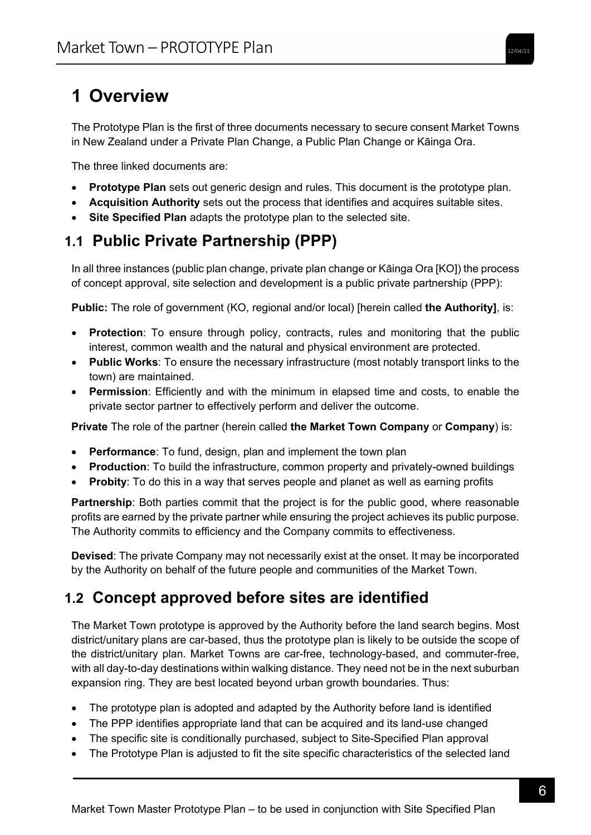# **1 Overview**

The Prototype Plan is the first of three documents necessary to secure consent Market Towns in New Zealand under a Private Plan Change, a Public Plan Change or Kāinga Ora.

The three linked documents are:

- **Prototype Plan** sets out generic design and rules. This document is the prototype plan.
- **Acquisition Authority** sets out the process that identifies and acquires suitable sites.
- **Site Specified Plan** adapts the prototype plan to the selected site.

# **1.1 Public Private Partnership (PPP)**

In all three instances (public plan change, private plan change or Kāinga Ora [KO]) the process of concept approval, site selection and development is a public private partnership (PPP):

**Public:** The role of government (KO, regional and/or local) [herein called **the Authority]**, is:

- **Protection**: To ensure through policy, contracts, rules and monitoring that the public interest, common wealth and the natural and physical environment are protected.
- **Public Works**: To ensure the necessary infrastructure (most notably transport links to the town) are maintained.
- **Permission**: Efficiently and with the minimum in elapsed time and costs, to enable the private sector partner to effectively perform and deliver the outcome.

**Private** The role of the partner (herein called **the Market Town Company** or **Company**) is:

- **Performance**: To fund, design, plan and implement the town plan
- **Production**: To build the infrastructure, common property and privately-owned buildings
- **Probity**: To do this in a way that serves people and planet as well as earning profits

**Partnership**: Both parties commit that the project is for the public good, where reasonable profits are earned by the private partner while ensuring the project achieves its public purpose. The Authority commits to efficiency and the Company commits to effectiveness.

**Devised**: The private Company may not necessarily exist at the onset. It may be incorporated by the Authority on behalf of the future people and communities of the Market Town.

### **1.2 Concept approved before sites are identified**

The Market Town prototype is approved by the Authority before the land search begins. Most district/unitary plans are car-based, thus the prototype plan is likely to be outside the scope of the district/unitary plan. Market Towns are car-free, technology-based, and commuter-free, with all day-to-day destinations within walking distance. They need not be in the next suburban expansion ring. They are best located beyond urban growth boundaries. Thus:

- The prototype plan is adopted and adapted by the Authority before land is identified
- The PPP identifies appropriate land that can be acquired and its land-use changed
- The specific site is conditionally purchased, subject to Site-Specified Plan approval
- The Prototype Plan is adjusted to fit the site specific characteristics of the selected land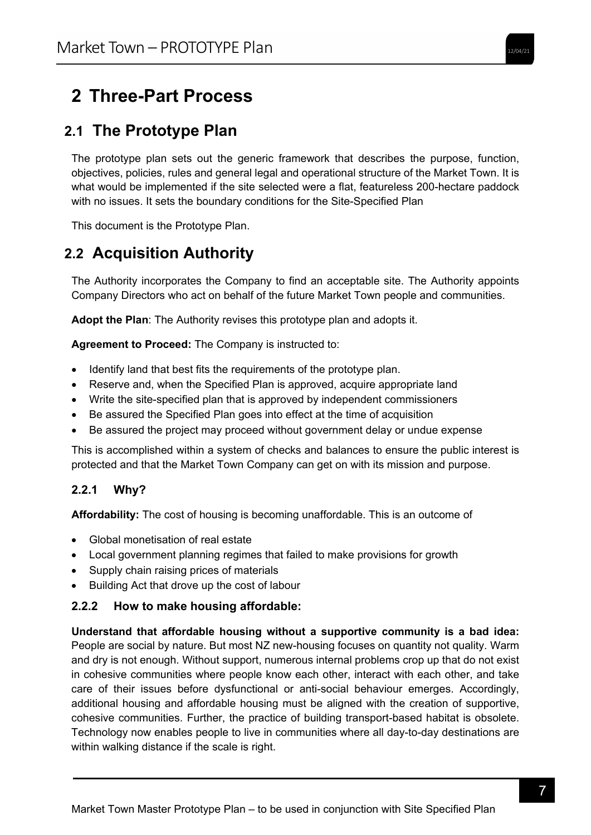# **2 Three-Part Process**

### **2.1 The Prototype Plan**

The prototype plan sets out the generic framework that describes the purpose, function, objectives, policies, rules and general legal and operational structure of the Market Town. It is what would be implemented if the site selected were a flat, featureless 200-hectare paddock with no issues. It sets the boundary conditions for the Site-Specified Plan

This document is the Prototype Plan.

### **2.2 Acquisition Authority**

The Authority incorporates the Company to find an acceptable site. The Authority appoints Company Directors who act on behalf of the future Market Town people and communities.

**Adopt the Plan**: The Authority revises this prototype plan and adopts it.

**Agreement to Proceed:** The Company is instructed to:

- Identify land that best fits the requirements of the prototype plan.
- Reserve and, when the Specified Plan is approved, acquire appropriate land
- Write the site-specified plan that is approved by independent commissioners
- Be assured the Specified Plan goes into effect at the time of acquisition
- Be assured the project may proceed without government delay or undue expense

This is accomplished within a system of checks and balances to ensure the public interest is protected and that the Market Town Company can get on with its mission and purpose.

### **2.2.1 Why?**

**Affordability:** The cost of housing is becoming unaffordable. This is an outcome of

- Global monetisation of real estate
- Local government planning regimes that failed to make provisions for growth
- Supply chain raising prices of materials
- Building Act that drove up the cost of labour

### **2.2.2 How to make housing affordable:**

**Understand that affordable housing without a supportive community is a bad idea:** People are social by nature. But most NZ new-housing focuses on quantity not quality. Warm and dry is not enough. Without support, numerous internal problems crop up that do not exist in cohesive communities where people know each other, interact with each other, and take care of their issues before dysfunctional or anti-social behaviour emerges. Accordingly, additional housing and affordable housing must be aligned with the creation of supportive, cohesive communities. Further, the practice of building transport-based habitat is obsolete. Technology now enables people to live in communities where all day-to-day destinations are within walking distance if the scale is right.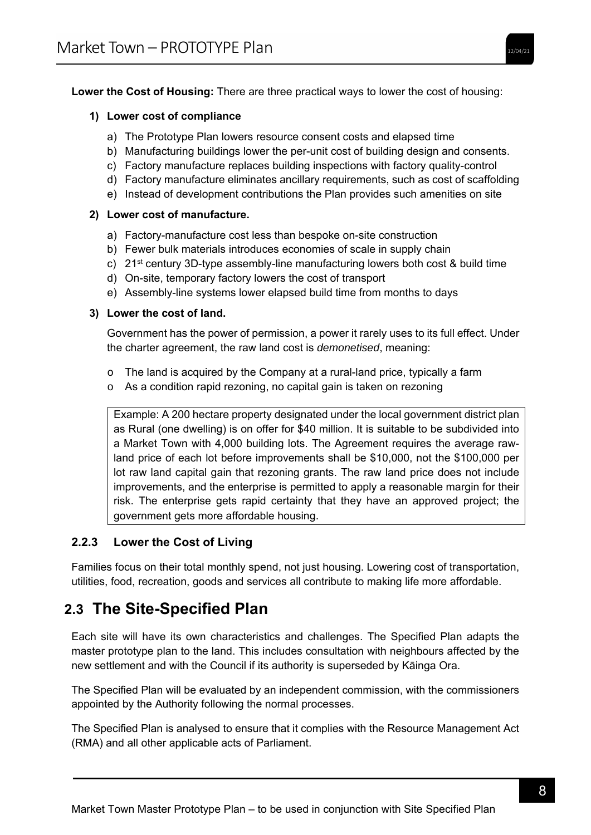**Lower the Cost of Housing:** There are three practical ways to lower the cost of housing:

#### **1) Lower cost of compliance**

- a) The Prototype Plan lowers resource consent costs and elapsed time
- b) Manufacturing buildings lower the per-unit cost of building design and consents.
- c) Factory manufacture replaces building inspections with factory quality-control
- d) Factory manufacture eliminates ancillary requirements, such as cost of scaffolding
- e) Instead of development contributions the Plan provides such amenities on site

#### **2) Lower cost of manufacture.**

- a) Factory-manufacture cost less than bespoke on-site construction
- b) Fewer bulk materials introduces economies of scale in supply chain
- c)  $21<sup>st</sup>$  century 3D-type assembly-line manufacturing lowers both cost & build time
- d) On-site, temporary factory lowers the cost of transport
- e) Assembly-line systems lower elapsed build time from months to days

#### **3) Lower the cost of land.**

Government has the power of permission, a power it rarely uses to its full effect. Under the charter agreement, the raw land cost is *demonetised*, meaning:

- o The land is acquired by the Company at a rural-land price, typically a farm
- o As a condition rapid rezoning, no capital gain is taken on rezoning

Example: A 200 hectare property designated under the local government district plan as Rural (one dwelling) is on offer for \$40 million. It is suitable to be subdivided into a Market Town with 4,000 building lots. The Agreement requires the average rawland price of each lot before improvements shall be \$10,000, not the \$100,000 per lot raw land capital gain that rezoning grants. The raw land price does not include improvements, and the enterprise is permitted to apply a reasonable margin for their risk. The enterprise gets rapid certainty that they have an approved project; the government gets more affordable housing.

### **2.2.3 Lower the Cost of Living**

Families focus on their total monthly spend, not just housing. Lowering cost of transportation, utilities, food, recreation, goods and services all contribute to making life more affordable.

### **2.3 The Site-Specified Plan**

Each site will have its own characteristics and challenges. The Specified Plan adapts the master prototype plan to the land. This includes consultation with neighbours affected by the new settlement and with the Council if its authority is superseded by Kāinga Ora.

The Specified Plan will be evaluated by an independent commission, with the commissioners appointed by the Authority following the normal processes.

The Specified Plan is analysed to ensure that it complies with the Resource Management Act (RMA) and all other applicable acts of Parliament.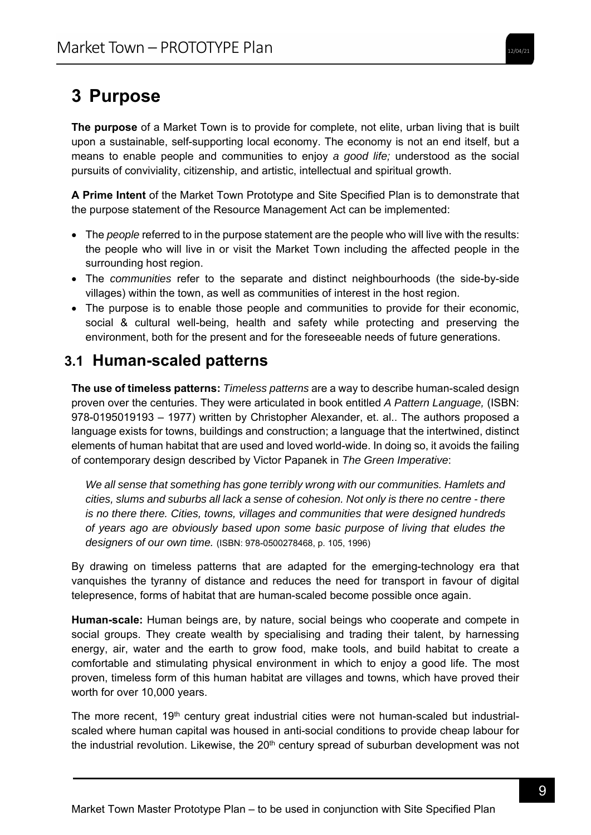# **3 Purpose**

**The purpose** of a Market Town is to provide for complete, not elite, urban living that is built upon a sustainable, self-supporting local economy. The economy is not an end itself, but a means to enable people and communities to enjoy *a good life;* understood as the social pursuits of conviviality, citizenship, and artistic, intellectual and spiritual growth.

**A Prime Intent** of the Market Town Prototype and Site Specified Plan is to demonstrate that the purpose statement of the Resource Management Act can be implemented:

- The *people* referred to in the purpose statement are the people who will live with the results: the people who will live in or visit the Market Town including the affected people in the surrounding host region.
- The *communities* refer to the separate and distinct neighbourhoods (the side-by-side villages) within the town, as well as communities of interest in the host region.
- The purpose is to enable those people and communities to provide for their economic, social & cultural well-being, health and safety while protecting and preserving the environment, both for the present and for the foreseeable needs of future generations.

### **3.1 Human-scaled patterns**

**The use of timeless patterns:** *Timeless patterns* are a way to describe human-scaled design proven over the centuries. They were articulated in book entitled *A Pattern Language,* (ISBN: 978-0195019193 – 1977) written by Christopher Alexander, et. al.. The authors proposed a language exists for towns, buildings and construction; a language that the intertwined, distinct elements of human habitat that are used and loved world-wide. In doing so, it avoids the failing of contemporary design described by Victor Papanek in *The Green Imperative*:

*We all sense that something has gone terribly wrong with our communities. Hamlets and cities, slums and suburbs all lack a sense of cohesion. Not only is there no centre - there is no there there. Cities, towns, villages and communities that were designed hundreds of years ago are obviously based upon some basic purpose of living that eludes the designers of our own time.* (ISBN: 978-0500278468, p. 105, 1996)

By drawing on timeless patterns that are adapted for the emerging-technology era that vanquishes the tyranny of distance and reduces the need for transport in favour of digital telepresence, forms of habitat that are human-scaled become possible once again.

**Human-scale:** Human beings are, by nature, social beings who cooperate and compete in social groups. They create wealth by specialising and trading their talent, by harnessing energy, air, water and the earth to grow food, make tools, and build habitat to create a comfortable and stimulating physical environment in which to enjoy a good life. The most proven, timeless form of this human habitat are villages and towns, which have proved their worth for over 10,000 years.

The more recent, 19<sup>th</sup> century great industrial cities were not human-scaled but industrialscaled where human capital was housed in anti-social conditions to provide cheap labour for the industrial revolution. Likewise, the  $20<sup>th</sup>$  century spread of suburban development was not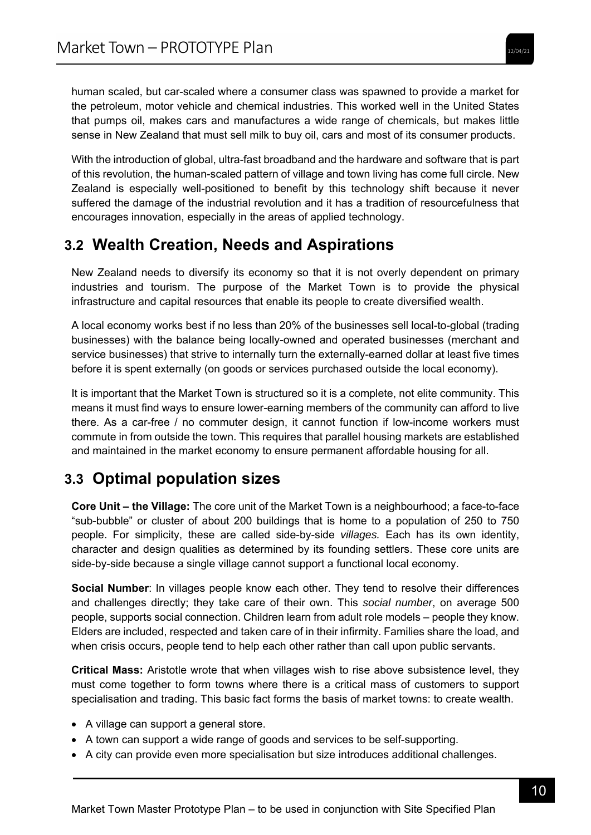human scaled, but car-scaled where a consumer class was spawned to provide a market for the petroleum, motor vehicle and chemical industries. This worked well in the United States that pumps oil, makes cars and manufactures a wide range of chemicals, but makes little sense in New Zealand that must sell milk to buy oil, cars and most of its consumer products.

With the introduction of global, ultra-fast broadband and the hardware and software that is part of this revolution, the human-scaled pattern of village and town living has come full circle. New Zealand is especially well-positioned to benefit by this technology shift because it never suffered the damage of the industrial revolution and it has a tradition of resourcefulness that encourages innovation, especially in the areas of applied technology.

### **3.2 Wealth Creation, Needs and Aspirations**

New Zealand needs to diversify its economy so that it is not overly dependent on primary industries and tourism. The purpose of the Market Town is to provide the physical infrastructure and capital resources that enable its people to create diversified wealth.

A local economy works best if no less than 20% of the businesses sell local-to-global (trading businesses) with the balance being locally-owned and operated businesses (merchant and service businesses) that strive to internally turn the externally-earned dollar at least five times before it is spent externally (on goods or services purchased outside the local economy).

It is important that the Market Town is structured so it is a complete, not elite community. This means it must find ways to ensure lower-earning members of the community can afford to live there. As a car-free / no commuter design, it cannot function if low-income workers must commute in from outside the town. This requires that parallel housing markets are established and maintained in the market economy to ensure permanent affordable housing for all.

# **3.3 Optimal population sizes**

**Core Unit – the Village:** The core unit of the Market Town is a neighbourhood; a face-to-face "sub-bubble" or cluster of about 200 buildings that is home to a population of 250 to 750 people. For simplicity, these are called side-by-side *villages.* Each has its own identity, character and design qualities as determined by its founding settlers. These core units are side-by-side because a single village cannot support a functional local economy.

**Social Number**: In villages people know each other. They tend to resolve their differences and challenges directly; they take care of their own. This *social number*, on average 500 people, supports social connection. Children learn from adult role models – people they know. Elders are included, respected and taken care of in their infirmity. Families share the load, and when crisis occurs, people tend to help each other rather than call upon public servants.

**Critical Mass:** Aristotle wrote that when villages wish to rise above subsistence level, they must come together to form towns where there is a critical mass of customers to support specialisation and trading. This basic fact forms the basis of market towns: to create wealth.

- A village can support a general store.
- A town can support a wide range of goods and services to be self-supporting.
- A city can provide even more specialisation but size introduces additional challenges.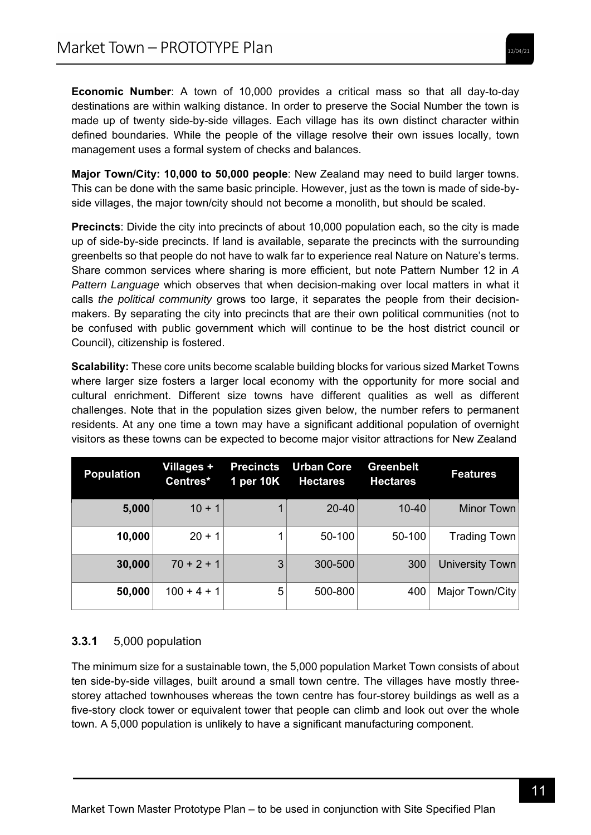**Economic Number**: A town of 10,000 provides a critical mass so that all day-to-day destinations are within walking distance. In order to preserve the Social Number the town is made up of twenty side-by-side villages. Each village has its own distinct character within defined boundaries. While the people of the village resolve their own issues locally, town management uses a formal system of checks and balances.

**Major Town/City: 10,000 to 50,000 people**: New Zealand may need to build larger towns. This can be done with the same basic principle. However, just as the town is made of side-byside villages, the major town/city should not become a monolith, but should be scaled.

**Precincts**: Divide the city into precincts of about 10,000 population each, so the city is made up of side-by-side precincts. If land is available, separate the precincts with the surrounding greenbelts so that people do not have to walk far to experience real Nature on Nature's terms. Share common services where sharing is more efficient, but note Pattern Number 12 in *A Pattern Language* which observes that when decision-making over local matters in what it calls *the political community* grows too large, it separates the people from their decisionmakers. By separating the city into precincts that are their own political communities (not to be confused with public government which will continue to be the host district council or Council), citizenship is fostered.

**Scalability:** These core units become scalable building blocks for various sized Market Towns where larger size fosters a larger local economy with the opportunity for more social and cultural enrichment. Different size towns have different qualities as well as different challenges. Note that in the population sizes given below, the number refers to permanent residents. At any one time a town may have a significant additional population of overnight visitors as these towns can be expected to become major visitor attractions for New Zealand

| <b>Population</b> | Villages +<br>Centres* | <b>Precincts</b><br>1 per 10K | <b>Urban Core</b><br><b>Hectares</b> | <b>Greenbelt</b><br><b>Hectares</b> | <b>Features</b>        |
|-------------------|------------------------|-------------------------------|--------------------------------------|-------------------------------------|------------------------|
| 5,000             | $10 + 1$               |                               | $20 - 40$                            | $10 - 40$                           | <b>Minor Town</b>      |
| 10,000            | $20 + 1$               |                               | 50-100                               | 50-100                              | Trading Town           |
| 30,000            | $70 + 2 + 1$           | 3                             | 300-500                              | 300                                 | <b>University Town</b> |
| 50,000            | $100 + 4 + 1$          | 5                             | 500-800                              | 400                                 | Major Town/City        |

### **3.3.1** 5,000 population

The minimum size for a sustainable town, the 5,000 population Market Town consists of about ten side-by-side villages, built around a small town centre. The villages have mostly threestorey attached townhouses whereas the town centre has four-storey buildings as well as a five-story clock tower or equivalent tower that people can climb and look out over the whole town. A 5,000 population is unlikely to have a significant manufacturing component.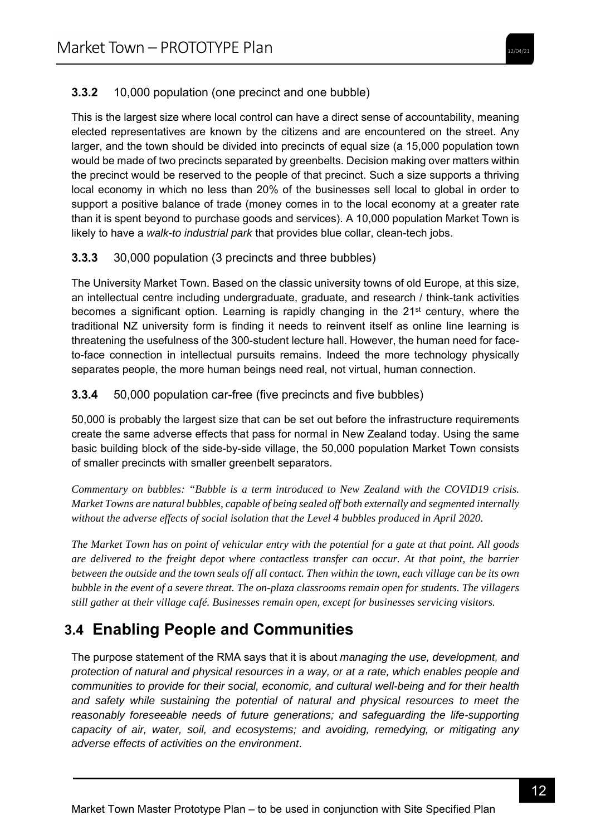### **3.3.2** 10,000 population (one precinct and one bubble)

This is the largest size where local control can have a direct sense of accountability, meaning elected representatives are known by the citizens and are encountered on the street. Any larger, and the town should be divided into precincts of equal size (a 15,000 population town would be made of two precincts separated by greenbelts. Decision making over matters within the precinct would be reserved to the people of that precinct. Such a size supports a thriving local economy in which no less than 20% of the businesses sell local to global in order to support a positive balance of trade (money comes in to the local economy at a greater rate than it is spent beyond to purchase goods and services). A 10,000 population Market Town is likely to have a *walk-to industrial park* that provides blue collar, clean-tech jobs.

### **3.3.3** 30,000 population (3 precincts and three bubbles)

The University Market Town. Based on the classic university towns of old Europe, at this size, an intellectual centre including undergraduate, graduate, and research / think-tank activities becomes a significant option. Learning is rapidly changing in the  $21<sup>st</sup>$  century, where the traditional NZ university form is finding it needs to reinvent itself as online line learning is threatening the usefulness of the 300-student lecture hall. However, the human need for faceto-face connection in intellectual pursuits remains. Indeed the more technology physically separates people, the more human beings need real, not virtual, human connection.

### **3.3.4** 50,000 population car-free (five precincts and five bubbles)

50,000 is probably the largest size that can be set out before the infrastructure requirements create the same adverse effects that pass for normal in New Zealand today. Using the same basic building block of the side-by-side village, the 50,000 population Market Town consists of smaller precincts with smaller greenbelt separators.

*Commentary on bubbles: "Bubble is a term introduced to New Zealand with the COVID19 crisis. Market Towns are natural bubbles, capable of being sealed off both externally and segmented internally without the adverse effects of social isolation that the Level 4 bubbles produced in April 2020.* 

*The Market Town has on point of vehicular entry with the potential for a gate at that point. All goods are delivered to the freight depot where contactless transfer can occur. At that point, the barrier between the outside and the town seals off all contact. Then within the town, each village can be its own bubble in the event of a severe threat. The on-plaza classrooms remain open for students. The villagers still gather at their village café. Businesses remain open, except for businesses servicing visitors.* 

### **3.4 Enabling People and Communities**

The purpose statement of the RMA says that it is about *managing the use, development, and protection of natural and physical resources in a way, or at a rate, which enables people and communities to provide for their social, economic, and cultural well-being and for their health and safety while sustaining the potential of natural and physical resources to meet the reasonably foreseeable needs of future generations; and safeguarding the life-supporting capacity of air, water, soil, and ecosystems; and avoiding, remedying, or mitigating any adverse effects of activities on the environment*.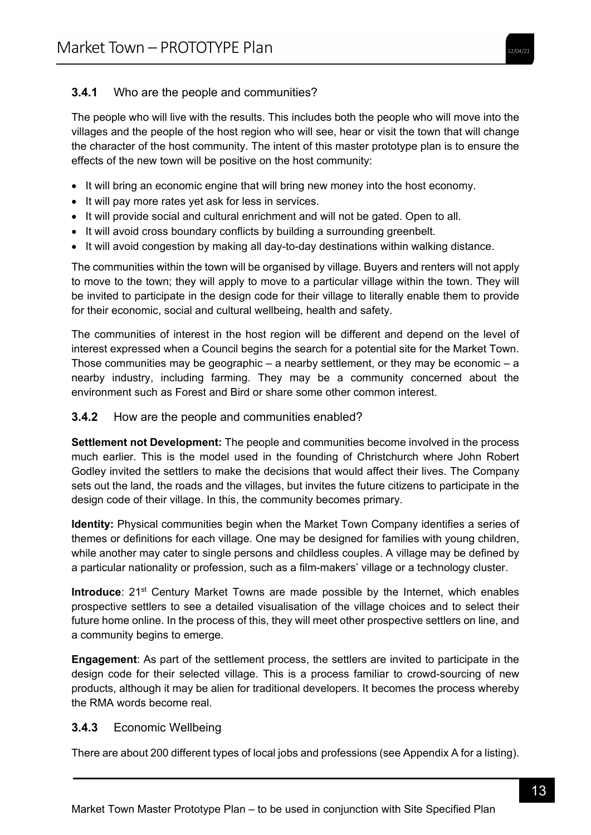### **3.4.1** Who are the people and communities?

The people who will live with the results. This includes both the people who will move into the villages and the people of the host region who will see, hear or visit the town that will change the character of the host community. The intent of this master prototype plan is to ensure the effects of the new town will be positive on the host community:

- It will bring an economic engine that will bring new money into the host economy.
- It will pay more rates yet ask for less in services.
- It will provide social and cultural enrichment and will not be gated. Open to all.
- It will avoid cross boundary conflicts by building a surrounding greenbelt.
- It will avoid congestion by making all day-to-day destinations within walking distance.

The communities within the town will be organised by village. Buyers and renters will not apply to move to the town; they will apply to move to a particular village within the town. They will be invited to participate in the design code for their village to literally enable them to provide for their economic, social and cultural wellbeing, health and safety.

The communities of interest in the host region will be different and depend on the level of interest expressed when a Council begins the search for a potential site for the Market Town. Those communities may be geographic  $-$  a nearby settlement, or they may be economic  $-$  a nearby industry, including farming. They may be a community concerned about the environment such as Forest and Bird or share some other common interest.

**3.4.2** How are the people and communities enabled?

**Settlement not Development:** The people and communities become involved in the process much earlier. This is the model used in the founding of Christchurch where John Robert Godley invited the settlers to make the decisions that would affect their lives. The Company sets out the land, the roads and the villages, but invites the future citizens to participate in the design code of their village. In this, the community becomes primary.

**Identity:** Physical communities begin when the Market Town Company identifies a series of themes or definitions for each village. One may be designed for families with young children, while another may cater to single persons and childless couples. A village may be defined by a particular nationality or profession, such as a film-makers' village or a technology cluster.

**Introduce**: 21<sup>st</sup> Century Market Towns are made possible by the Internet, which enables prospective settlers to see a detailed visualisation of the village choices and to select their future home online. In the process of this, they will meet other prospective settlers on line, and a community begins to emerge.

**Engagement**: As part of the settlement process, the settlers are invited to participate in the design code for their selected village. This is a process familiar to crowd-sourcing of new products, although it may be alien for traditional developers. It becomes the process whereby the RMA words become real.

### **3.4.3** Economic Wellbeing

There are about 200 different types of local jobs and professions (see Appendix A for a listing).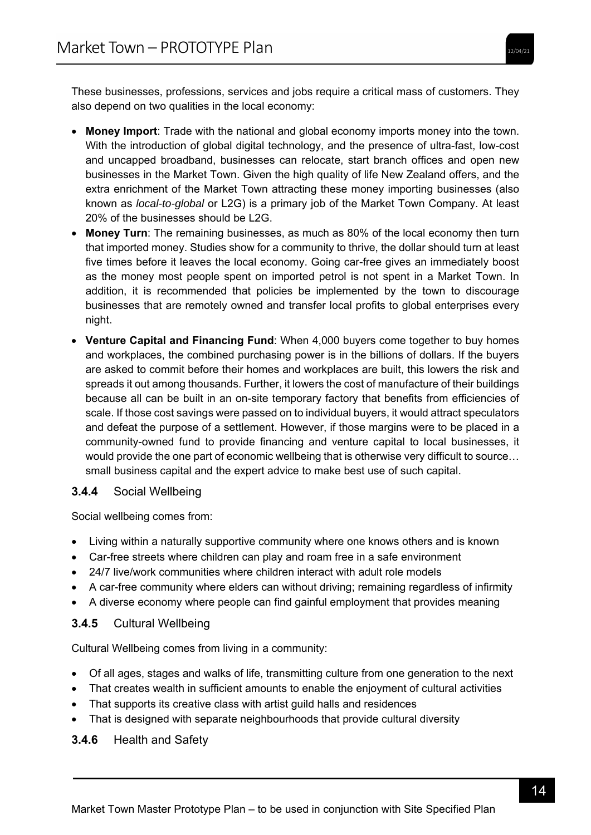These businesses, professions, services and jobs require a critical mass of customers. They also depend on two qualities in the local economy:

- **Money Import**: Trade with the national and global economy imports money into the town. With the introduction of global digital technology, and the presence of ultra-fast, low-cost and uncapped broadband, businesses can relocate, start branch offices and open new businesses in the Market Town. Given the high quality of life New Zealand offers, and the extra enrichment of the Market Town attracting these money importing businesses (also known as *local-to-global* or L2G) is a primary job of the Market Town Company. At least 20% of the businesses should be L2G.
- **Money Turn**: The remaining businesses, as much as 80% of the local economy then turn that imported money. Studies show for a community to thrive, the dollar should turn at least five times before it leaves the local economy. Going car-free gives an immediately boost as the money most people spent on imported petrol is not spent in a Market Town. In addition, it is recommended that policies be implemented by the town to discourage businesses that are remotely owned and transfer local profits to global enterprises every night.
- **Venture Capital and Financing Fund**: When 4,000 buyers come together to buy homes and workplaces, the combined purchasing power is in the billions of dollars. If the buyers are asked to commit before their homes and workplaces are built, this lowers the risk and spreads it out among thousands. Further, it lowers the cost of manufacture of their buildings because all can be built in an on-site temporary factory that benefits from efficiencies of scale. If those cost savings were passed on to individual buyers, it would attract speculators and defeat the purpose of a settlement. However, if those margins were to be placed in a community-owned fund to provide financing and venture capital to local businesses, it would provide the one part of economic wellbeing that is otherwise very difficult to source… small business capital and the expert advice to make best use of such capital.

#### **3.4.4** Social Wellbeing

Social wellbeing comes from:

- Living within a naturally supportive community where one knows others and is known
- Car-free streets where children can play and roam free in a safe environment
- 24/7 live/work communities where children interact with adult role models
- A car-free community where elders can without driving; remaining regardless of infirmity
- A diverse economy where people can find gainful employment that provides meaning

### **3.4.5** Cultural Wellbeing

Cultural Wellbeing comes from living in a community:

- Of all ages, stages and walks of life, transmitting culture from one generation to the next
- That creates wealth in sufficient amounts to enable the enjoyment of cultural activities
- That supports its creative class with artist guild halls and residences
- That is designed with separate neighbourhoods that provide cultural diversity

### **3.4.6** Health and Safety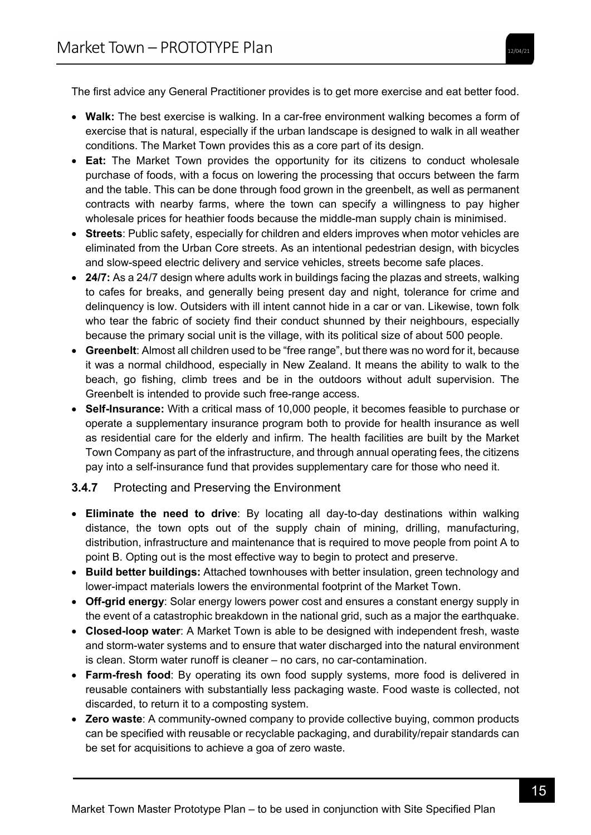The first advice any General Practitioner provides is to get more exercise and eat better food.

- **Walk:** The best exercise is walking. In a car-free environment walking becomes a form of exercise that is natural, especially if the urban landscape is designed to walk in all weather conditions. The Market Town provides this as a core part of its design.
- **Eat:** The Market Town provides the opportunity for its citizens to conduct wholesale purchase of foods, with a focus on lowering the processing that occurs between the farm and the table. This can be done through food grown in the greenbelt, as well as permanent contracts with nearby farms, where the town can specify a willingness to pay higher wholesale prices for heathier foods because the middle-man supply chain is minimised.
- **Streets**: Public safety, especially for children and elders improves when motor vehicles are eliminated from the Urban Core streets. As an intentional pedestrian design, with bicycles and slow-speed electric delivery and service vehicles, streets become safe places.
- **24/7:** As a 24/7 design where adults work in buildings facing the plazas and streets, walking to cafes for breaks, and generally being present day and night, tolerance for crime and delinquency is low. Outsiders with ill intent cannot hide in a car or van. Likewise, town folk who tear the fabric of society find their conduct shunned by their neighbours, especially because the primary social unit is the village, with its political size of about 500 people.
- **Greenbelt**: Almost all children used to be "free range", but there was no word for it, because it was a normal childhood, especially in New Zealand. It means the ability to walk to the beach, go fishing, climb trees and be in the outdoors without adult supervision. The Greenbelt is intended to provide such free-range access.
- **Self-Insurance:** With a critical mass of 10,000 people, it becomes feasible to purchase or operate a supplementary insurance program both to provide for health insurance as well as residential care for the elderly and infirm. The health facilities are built by the Market Town Company as part of the infrastructure, and through annual operating fees, the citizens pay into a self-insurance fund that provides supplementary care for those who need it.

### **3.4.7** Protecting and Preserving the Environment

- **Eliminate the need to drive**: By locating all day-to-day destinations within walking distance, the town opts out of the supply chain of mining, drilling, manufacturing, distribution, infrastructure and maintenance that is required to move people from point A to point B. Opting out is the most effective way to begin to protect and preserve.
- **Build better buildings:** Attached townhouses with better insulation, green technology and lower-impact materials lowers the environmental footprint of the Market Town.
- **Off-grid energy**: Solar energy lowers power cost and ensures a constant energy supply in the event of a catastrophic breakdown in the national grid, such as a major the earthquake.
- **Closed-loop water**: A Market Town is able to be designed with independent fresh, waste and storm-water systems and to ensure that water discharged into the natural environment is clean. Storm water runoff is cleaner – no cars, no car-contamination.
- **Farm-fresh food**: By operating its own food supply systems, more food is delivered in reusable containers with substantially less packaging waste. Food waste is collected, not discarded, to return it to a composting system.
- **Zero waste**: A community-owned company to provide collective buying, common products can be specified with reusable or recyclable packaging, and durability/repair standards can be set for acquisitions to achieve a goa of zero waste.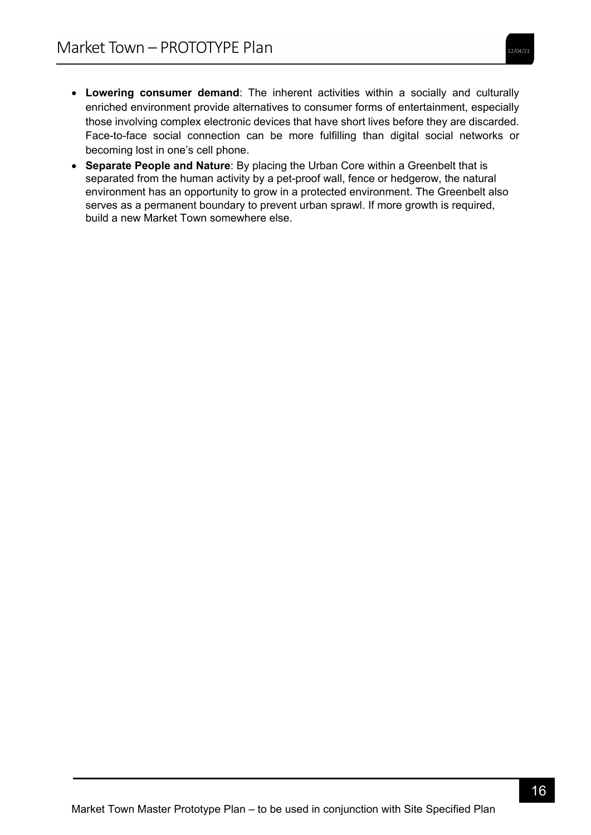- **Lowering consumer demand**: The inherent activities within a socially and culturally enriched environment provide alternatives to consumer forms of entertainment, especially those involving complex electronic devices that have short lives before they are discarded. Face-to-face social connection can be more fulfilling than digital social networks or becoming lost in one's cell phone.
- **Separate People and Nature**: By placing the Urban Core within a Greenbelt that is separated from the human activity by a pet-proof wall, fence or hedgerow, the natural environment has an opportunity to grow in a protected environment. The Greenbelt also serves as a permanent boundary to prevent urban sprawl. If more growth is required, build a new Market Town somewhere else.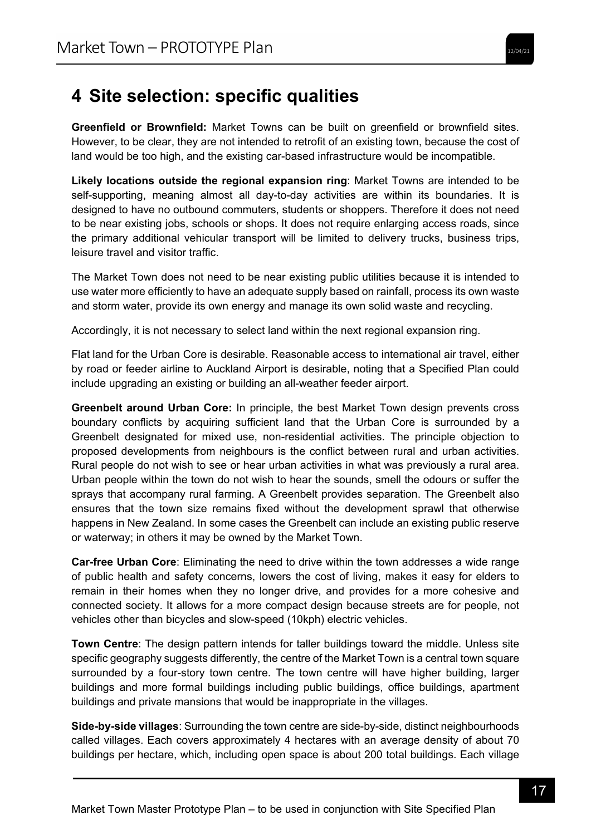# **4 Site selection: specific qualities**

**Greenfield or Brownfield:** Market Towns can be built on greenfield or brownfield sites. However, to be clear, they are not intended to retrofit of an existing town, because the cost of land would be too high, and the existing car-based infrastructure would be incompatible.

**Likely locations outside the regional expansion ring**: Market Towns are intended to be self-supporting, meaning almost all day-to-day activities are within its boundaries. It is designed to have no outbound commuters, students or shoppers. Therefore it does not need to be near existing jobs, schools or shops. It does not require enlarging access roads, since the primary additional vehicular transport will be limited to delivery trucks, business trips, leisure travel and visitor traffic.

The Market Town does not need to be near existing public utilities because it is intended to use water more efficiently to have an adequate supply based on rainfall, process its own waste and storm water, provide its own energy and manage its own solid waste and recycling.

Accordingly, it is not necessary to select land within the next regional expansion ring.

Flat land for the Urban Core is desirable. Reasonable access to international air travel, either by road or feeder airline to Auckland Airport is desirable, noting that a Specified Plan could include upgrading an existing or building an all-weather feeder airport.

**Greenbelt around Urban Core:** In principle, the best Market Town design prevents cross boundary conflicts by acquiring sufficient land that the Urban Core is surrounded by a Greenbelt designated for mixed use, non-residential activities. The principle objection to proposed developments from neighbours is the conflict between rural and urban activities. Rural people do not wish to see or hear urban activities in what was previously a rural area. Urban people within the town do not wish to hear the sounds, smell the odours or suffer the sprays that accompany rural farming. A Greenbelt provides separation. The Greenbelt also ensures that the town size remains fixed without the development sprawl that otherwise happens in New Zealand. In some cases the Greenbelt can include an existing public reserve or waterway; in others it may be owned by the Market Town.

**Car-free Urban Core**: Eliminating the need to drive within the town addresses a wide range of public health and safety concerns, lowers the cost of living, makes it easy for elders to remain in their homes when they no longer drive, and provides for a more cohesive and connected society. It allows for a more compact design because streets are for people, not vehicles other than bicycles and slow-speed (10kph) electric vehicles.

**Town Centre**: The design pattern intends for taller buildings toward the middle. Unless site specific geography suggests differently, the centre of the Market Town is a central town square surrounded by a four-story town centre. The town centre will have higher building, larger buildings and more formal buildings including public buildings, office buildings, apartment buildings and private mansions that would be inappropriate in the villages.

**Side-by-side villages**: Surrounding the town centre are side-by-side, distinct neighbourhoods called villages. Each covers approximately 4 hectares with an average density of about 70 buildings per hectare, which, including open space is about 200 total buildings. Each village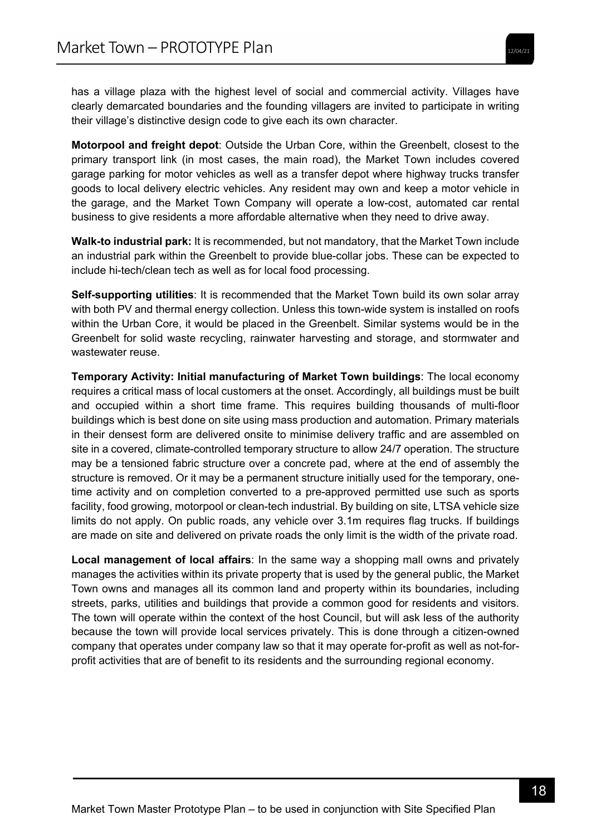has a village plaza with the highest level of social and commercial activity. Villages have clearly demarcated boundaries and the founding villagers are invited to participate in writing their village's distinctive design code to give each its own character.

**Motorpool and freight depot**: Outside the Urban Core, within the Greenbelt, closest to the primary transport link (in most cases, the main road), the Market Town includes covered garage parking for motor vehicles as well as a transfer depot where highway trucks transfer goods to local delivery electric vehicles. Any resident may own and keep a motor vehicle in the garage, and the Market Town Company will operate a low-cost, automated car rental business to give residents a more affordable alternative when they need to drive away.

**Walk-to industrial park:** It is recommended, but not mandatory, that the Market Town include an industrial park within the Greenbelt to provide blue-collar jobs. These can be expected to include hi-tech/clean tech as well as for local food processing.

**Self-supporting utilities**: It is recommended that the Market Town build its own solar array with both PV and thermal energy collection. Unless this town-wide system is installed on roofs within the Urban Core, it would be placed in the Greenbelt. Similar systems would be in the Greenbelt for solid waste recycling, rainwater harvesting and storage, and stormwater and wastewater reuse.

**Temporary Activity: Initial manufacturing of Market Town buildings**: The local economy requires a critical mass of local customers at the onset. Accordingly, all buildings must be built and occupied within a short time frame. This requires building thousands of multi-floor buildings which is best done on site using mass production and automation. Primary materials in their densest form are delivered onsite to minimise delivery traffic and are assembled on site in a covered, climate-controlled temporary structure to allow 24/7 operation. The structure may be a tensioned fabric structure over a concrete pad, where at the end of assembly the structure is removed. Or it may be a permanent structure initially used for the temporary, onetime activity and on completion converted to a pre-approved permitted use such as sports facility, food growing, motorpool or clean-tech industrial. By building on site, LTSA vehicle size limits do not apply. On public roads, any vehicle over 3.1m requires flag trucks. If buildings are made on site and delivered on private roads the only limit is the width of the private road.

**Local management of local affairs**: In the same way a shopping mall owns and privately manages the activities within its private property that is used by the general public, the Market Town owns and manages all its common land and property within its boundaries, including streets, parks, utilities and buildings that provide a common good for residents and visitors. The town will operate within the context of the host Council, but will ask less of the authority because the town will provide local services privately. This is done through a citizen-owned company that operates under company law so that it may operate for-profit as well as not-forprofit activities that are of benefit to its residents and the surrounding regional economy.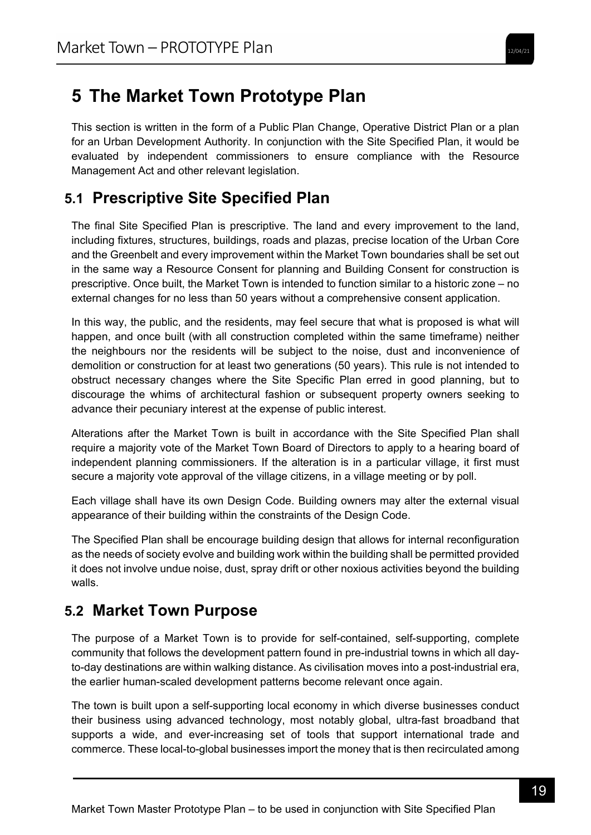# **5 The Market Town Prototype Plan**

This section is written in the form of a Public Plan Change, Operative District Plan or a plan for an Urban Development Authority. In conjunction with the Site Specified Plan, it would be evaluated by independent commissioners to ensure compliance with the Resource Management Act and other relevant legislation.

### **5.1 Prescriptive Site Specified Plan**

The final Site Specified Plan is prescriptive. The land and every improvement to the land, including fixtures, structures, buildings, roads and plazas, precise location of the Urban Core and the Greenbelt and every improvement within the Market Town boundaries shall be set out in the same way a Resource Consent for planning and Building Consent for construction is prescriptive. Once built, the Market Town is intended to function similar to a historic zone – no external changes for no less than 50 years without a comprehensive consent application.

In this way, the public, and the residents, may feel secure that what is proposed is what will happen, and once built (with all construction completed within the same timeframe) neither the neighbours nor the residents will be subject to the noise, dust and inconvenience of demolition or construction for at least two generations (50 years). This rule is not intended to obstruct necessary changes where the Site Specific Plan erred in good planning, but to discourage the whims of architectural fashion or subsequent property owners seeking to advance their pecuniary interest at the expense of public interest.

Alterations after the Market Town is built in accordance with the Site Specified Plan shall require a majority vote of the Market Town Board of Directors to apply to a hearing board of independent planning commissioners. If the alteration is in a particular village, it first must secure a majority vote approval of the village citizens, in a village meeting or by poll.

Each village shall have its own Design Code. Building owners may alter the external visual appearance of their building within the constraints of the Design Code.

The Specified Plan shall be encourage building design that allows for internal reconfiguration as the needs of society evolve and building work within the building shall be permitted provided it does not involve undue noise, dust, spray drift or other noxious activities beyond the building walls.

### **5.2 Market Town Purpose**

The purpose of a Market Town is to provide for self-contained, self-supporting, complete community that follows the development pattern found in pre-industrial towns in which all dayto-day destinations are within walking distance. As civilisation moves into a post-industrial era, the earlier human-scaled development patterns become relevant once again.

The town is built upon a self-supporting local economy in which diverse businesses conduct their business using advanced technology, most notably global, ultra-fast broadband that supports a wide, and ever-increasing set of tools that support international trade and commerce. These local-to-global businesses import the money that is then recirculated among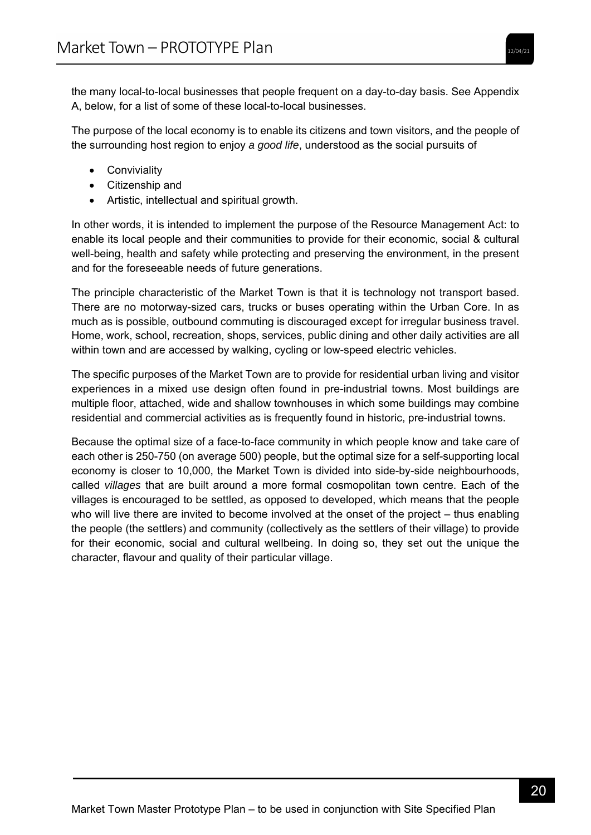the many local-to-local businesses that people frequent on a day-to-day basis. See Appendix A, below, for a list of some of these local-to-local businesses.

The purpose of the local economy is to enable its citizens and town visitors, and the people of the surrounding host region to enjoy *a good life*, understood as the social pursuits of

- **•** Conviviality
- Citizenship and
- Artistic, intellectual and spiritual growth.

In other words, it is intended to implement the purpose of the Resource Management Act: to enable its local people and their communities to provide for their economic, social & cultural well-being, health and safety while protecting and preserving the environment, in the present and for the foreseeable needs of future generations.

The principle characteristic of the Market Town is that it is technology not transport based. There are no motorway-sized cars, trucks or buses operating within the Urban Core. In as much as is possible, outbound commuting is discouraged except for irregular business travel. Home, work, school, recreation, shops, services, public dining and other daily activities are all within town and are accessed by walking, cycling or low-speed electric vehicles.

The specific purposes of the Market Town are to provide for residential urban living and visitor experiences in a mixed use design often found in pre-industrial towns. Most buildings are multiple floor, attached, wide and shallow townhouses in which some buildings may combine residential and commercial activities as is frequently found in historic, pre-industrial towns.

Because the optimal size of a face-to-face community in which people know and take care of each other is 250-750 (on average 500) people, but the optimal size for a self-supporting local economy is closer to 10,000, the Market Town is divided into side-by-side neighbourhoods, called *villages* that are built around a more formal cosmopolitan town centre. Each of the villages is encouraged to be settled, as opposed to developed, which means that the people who will live there are invited to become involved at the onset of the project – thus enabling the people (the settlers) and community (collectively as the settlers of their village) to provide for their economic, social and cultural wellbeing. In doing so, they set out the unique the character, flavour and quality of their particular village.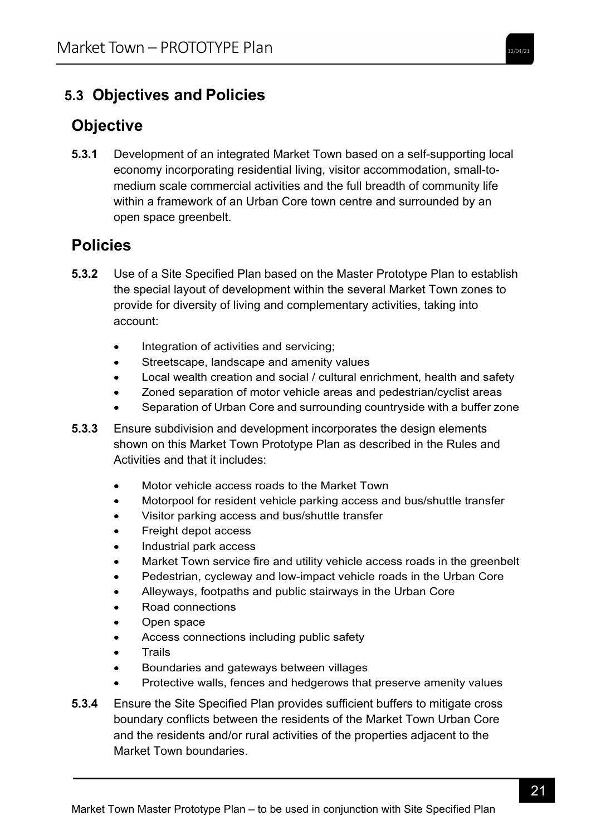# **5.3 Objectives and Policies**

# **Objective**

**5.3.1** Development of an integrated Market Town based on a self-supporting local economy incorporating residential living, visitor accommodation, small-tomedium scale commercial activities and the full breadth of community life within a framework of an Urban Core town centre and surrounded by an open space greenbelt.

# **Policies**

- **5.3.2** Use of a Site Specified Plan based on the Master Prototype Plan to establish the special layout of development within the several Market Town zones to provide for diversity of living and complementary activities, taking into account:
	- Integration of activities and servicing;
	- Streetscape, landscape and amenity values
	- Local wealth creation and social / cultural enrichment, health and safety
	- Zoned separation of motor vehicle areas and pedestrian/cyclist areas
	- Separation of Urban Core and surrounding countryside with a buffer zone
- **5.3.3** Ensure subdivision and development incorporates the design elements shown on this Market Town Prototype Plan as described in the Rules and Activities and that it includes:
	- Motor vehicle access roads to the Market Town
	- Motorpool for resident vehicle parking access and bus/shuttle transfer
	- Visitor parking access and bus/shuttle transfer
	- Freight depot access
	- Industrial park access
	- Market Town service fire and utility vehicle access roads in the greenbelt
	- Pedestrian, cycleway and low-impact vehicle roads in the Urban Core
	- Alleyways, footpaths and public stairways in the Urban Core
	- Road connections
	- Open space
	- Access connections including public safety
	- **Trails**
	- Boundaries and gateways between villages
	- Protective walls, fences and hedgerows that preserve amenity values
- **5.3.4** Ensure the Site Specified Plan provides sufficient buffers to mitigate cross boundary conflicts between the residents of the Market Town Urban Core and the residents and/or rural activities of the properties adjacent to the Market Town boundaries.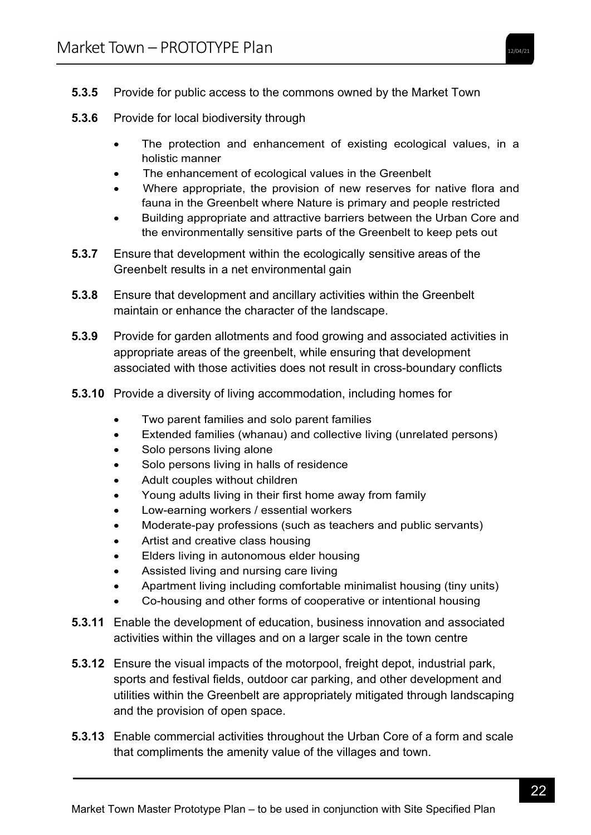- **5.3.5** Provide for public access to the commons owned by the Market Town
- **5.3.6** Provide for local biodiversity through
	- The protection and enhancement of existing ecological values, in a holistic manner
	- The enhancement of ecological values in the Greenbelt
	- Where appropriate, the provision of new reserves for native flora and fauna in the Greenbelt where Nature is primary and people restricted
	- Building appropriate and attractive barriers between the Urban Core and the environmentally sensitive parts of the Greenbelt to keep pets out
- **5.3.7** Ensure that development within the ecologically sensitive areas of the Greenbelt results in a net environmental gain
- **5.3.8** Ensure that development and ancillary activities within the Greenbelt maintain or enhance the character of the landscape.
- **5.3.9** Provide for garden allotments and food growing and associated activities in appropriate areas of the greenbelt, while ensuring that development associated with those activities does not result in cross-boundary conflicts
- **5.3.10** Provide a diversity of living accommodation, including homes for
	- Two parent families and solo parent families
	- Extended families (whanau) and collective living (unrelated persons)
	- Solo persons living alone
	- Solo persons living in halls of residence
	- Adult couples without children
	- Young adults living in their first home away from family
	- Low-earning workers / essential workers
	- Moderate-pay professions (such as teachers and public servants)
	- Artist and creative class housing
	- Elders living in autonomous elder housing
	- Assisted living and nursing care living
	- Apartment living including comfortable minimalist housing (tiny units)
	- Co-housing and other forms of cooperative or intentional housing
- **5.3.11** Enable the development of education, business innovation and associated activities within the villages and on a larger scale in the town centre
- **5.3.12** Ensure the visual impacts of the motorpool, freight depot, industrial park, sports and festival fields, outdoor car parking, and other development and utilities within the Greenbelt are appropriately mitigated through landscaping and the provision of open space.
- **5.3.13** Enable commercial activities throughout the Urban Core of a form and scale that compliments the amenity value of the villages and town.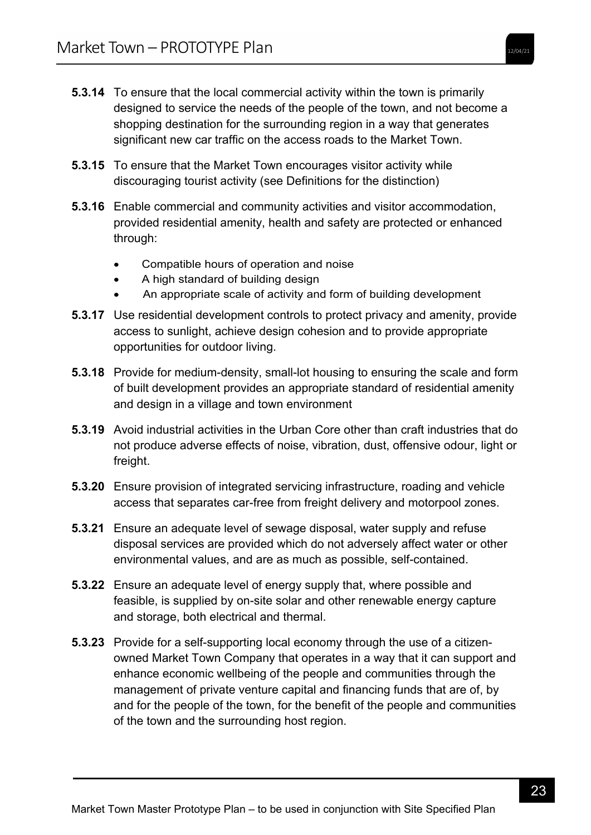- **5.3.14** To ensure that the local commercial activity within the town is primarily designed to service the needs of the people of the town, and not become a shopping destination for the surrounding region in a way that generates significant new car traffic on the access roads to the Market Town.
- **5.3.15** To ensure that the Market Town encourages visitor activity while discouraging tourist activity (see Definitions for the distinction)
- **5.3.16** Enable commercial and community activities and visitor accommodation, provided residential amenity, health and safety are protected or enhanced through:
	- Compatible hours of operation and noise
	- A high standard of building design
	- An appropriate scale of activity and form of building development
- **5.3.17** Use residential development controls to protect privacy and amenity, provide access to sunlight, achieve design cohesion and to provide appropriate opportunities for outdoor living.
- **5.3.18** Provide for medium-density, small-lot housing to ensuring the scale and form of built development provides an appropriate standard of residential amenity and design in a village and town environment
- **5.3.19** Avoid industrial activities in the Urban Core other than craft industries that do not produce adverse effects of noise, vibration, dust, offensive odour, light or freight.
- **5.3.20** Ensure provision of integrated servicing infrastructure, roading and vehicle access that separates car-free from freight delivery and motorpool zones.
- **5.3.21** Ensure an adequate level of sewage disposal, water supply and refuse disposal services are provided which do not adversely affect water or other environmental values, and are as much as possible, self-contained.
- **5.3.22** Ensure an adequate level of energy supply that, where possible and feasible, is supplied by on-site solar and other renewable energy capture and storage, both electrical and thermal.
- **5.3.23** Provide for a self-supporting local economy through the use of a citizenowned Market Town Company that operates in a way that it can support and enhance economic wellbeing of the people and communities through the management of private venture capital and financing funds that are of, by and for the people of the town, for the benefit of the people and communities of the town and the surrounding host region.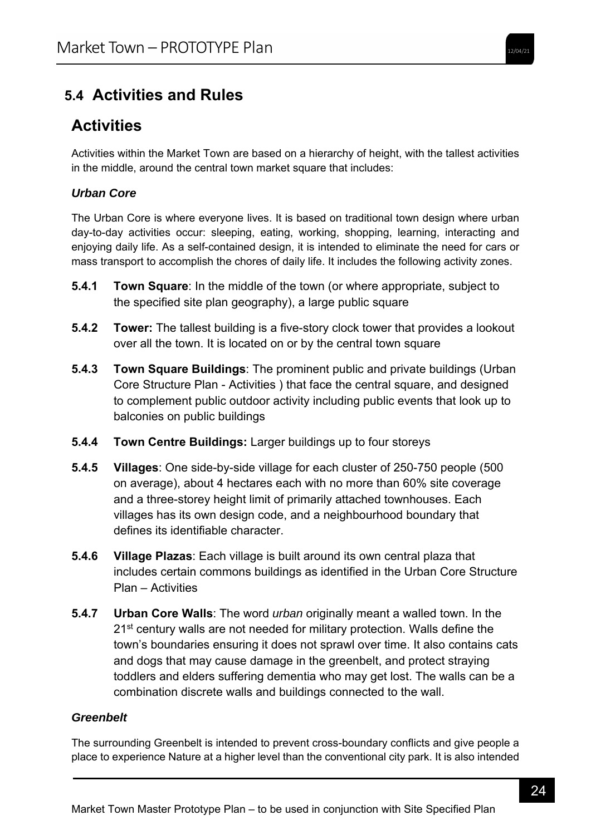### **5.4 Activities and Rules**

### **Activities**

Activities within the Market Town are based on a hierarchy of height, with the tallest activities in the middle, around the central town market square that includes:

### *Urban Core*

The Urban Core is where everyone lives. It is based on traditional town design where urban day-to-day activities occur: sleeping, eating, working, shopping, learning, interacting and enjoying daily life. As a self-contained design, it is intended to eliminate the need for cars or mass transport to accomplish the chores of daily life. It includes the following activity zones.

- **5.4.1 Town Square**: In the middle of the town (or where appropriate, subject to the specified site plan geography), a large public square
- **5.4.2 Tower:** The tallest building is a five-story clock tower that provides a lookout over all the town. It is located on or by the central town square
- **5.4.3 Town Square Buildings**: The prominent public and private buildings (Urban Core Structure Plan - Activities ) that face the central square, and designed to complement public outdoor activity including public events that look up to balconies on public buildings
- **5.4.4 Town Centre Buildings:** Larger buildings up to four storeys
- **5.4.5 Villages**: One side-by-side village for each cluster of 250-750 people (500 on average), about 4 hectares each with no more than 60% site coverage and a three-storey height limit of primarily attached townhouses. Each villages has its own design code, and a neighbourhood boundary that defines its identifiable character.
- **5.4.6 Village Plazas**: Each village is built around its own central plaza that includes certain commons buildings as identified in the Urban Core Structure Plan – Activities
- **5.4.7 Urban Core Walls**: The word *urban* originally meant a walled town. In the 21<sup>st</sup> century walls are not needed for military protection. Walls define the town's boundaries ensuring it does not sprawl over time. It also contains cats and dogs that may cause damage in the greenbelt, and protect straying toddlers and elders suffering dementia who may get lost. The walls can be a combination discrete walls and buildings connected to the wall.

### *Greenbelt*

The surrounding Greenbelt is intended to prevent cross-boundary conflicts and give people a place to experience Nature at a higher level than the conventional city park. It is also intended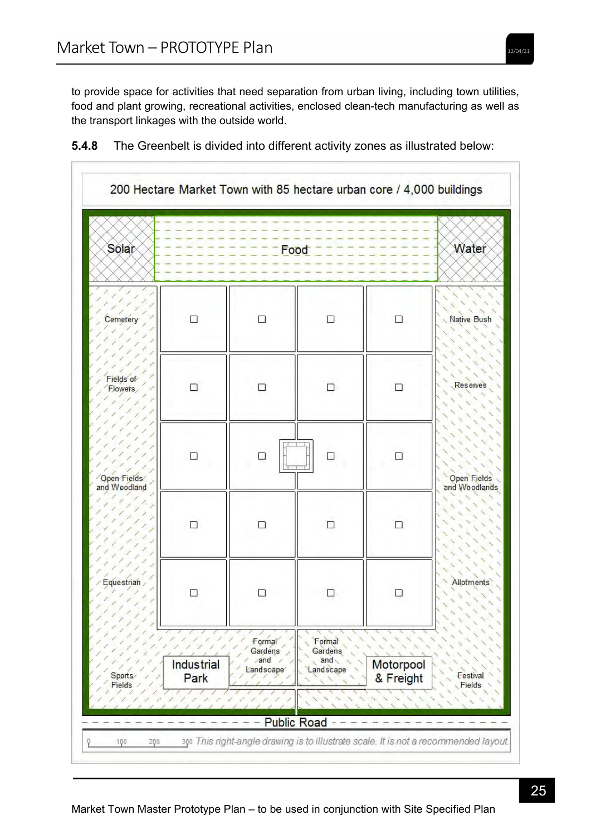to provide space for activities that need separation from urban living, including town utilities, food and plant growing, recreational activities, enclosed clean-tech manufacturing as well as the transport linkages with the outside world.



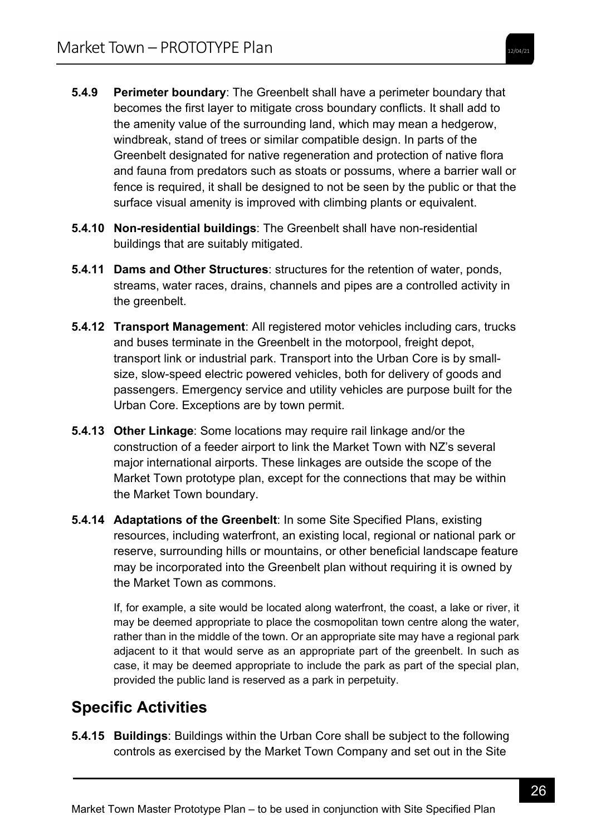- **5.4.9 Perimeter boundary**: The Greenbelt shall have a perimeter boundary that becomes the first layer to mitigate cross boundary conflicts. It shall add to the amenity value of the surrounding land, which may mean a hedgerow, windbreak, stand of trees or similar compatible design. In parts of the Greenbelt designated for native regeneration and protection of native flora and fauna from predators such as stoats or possums, where a barrier wall or fence is required, it shall be designed to not be seen by the public or that the surface visual amenity is improved with climbing plants or equivalent.
- **5.4.10 Non-residential buildings**: The Greenbelt shall have non-residential buildings that are suitably mitigated.
- **5.4.11 Dams and Other Structures**: structures for the retention of water, ponds, streams, water races, drains, channels and pipes are a controlled activity in the greenbelt.
- **5.4.12 Transport Management**: All registered motor vehicles including cars, trucks and buses terminate in the Greenbelt in the motorpool, freight depot, transport link or industrial park. Transport into the Urban Core is by smallsize, slow-speed electric powered vehicles, both for delivery of goods and passengers. Emergency service and utility vehicles are purpose built for the Urban Core. Exceptions are by town permit.
- **5.4.13 Other Linkage**: Some locations may require rail linkage and/or the construction of a feeder airport to link the Market Town with NZ's several major international airports. These linkages are outside the scope of the Market Town prototype plan, except for the connections that may be within the Market Town boundary.
- **5.4.14 Adaptations of the Greenbelt**: In some Site Specified Plans, existing resources, including waterfront, an existing local, regional or national park or reserve, surrounding hills or mountains, or other beneficial landscape feature may be incorporated into the Greenbelt plan without requiring it is owned by the Market Town as commons.

If, for example, a site would be located along waterfront, the coast, a lake or river, it may be deemed appropriate to place the cosmopolitan town centre along the water, rather than in the middle of the town. Or an appropriate site may have a regional park adjacent to it that would serve as an appropriate part of the greenbelt. In such as case, it may be deemed appropriate to include the park as part of the special plan, provided the public land is reserved as a park in perpetuity.

# **Specific Activities**

**5.4.15 Buildings**: Buildings within the Urban Core shall be subject to the following controls as exercised by the Market Town Company and set out in the Site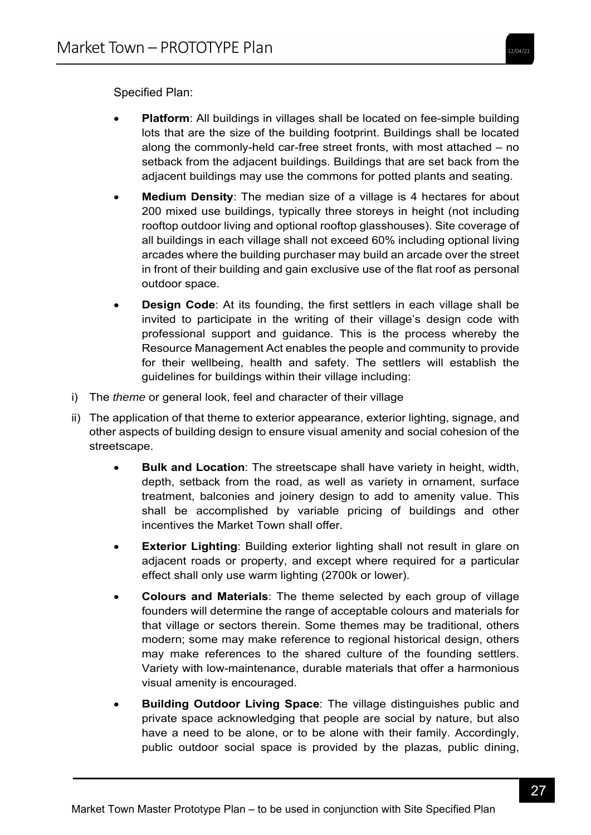Specified Plan:

- **Platform**: All buildings in villages shall be located on fee-simple building lots that are the size of the building footprint. Buildings shall be located along the commonly-held car-free street fronts, with most attached – no setback from the adjacent buildings. Buildings that are set back from the adjacent buildings may use the commons for potted plants and seating.
- **Medium Density**: The median size of a village is 4 hectares for about 200 mixed use buildings, typically three storeys in height (not including rooftop outdoor living and optional rooftop glasshouses). Site coverage of all buildings in each village shall not exceed 60% including optional living arcades where the building purchaser may build an arcade over the street in front of their building and gain exclusive use of the flat roof as personal outdoor space.
- **Design Code**: At its founding, the first settlers in each village shall be invited to participate in the writing of their village's design code with professional support and guidance. This is the process whereby the Resource Management Act enables the people and community to provide for their wellbeing, health and safety. The settlers will establish the guidelines for buildings within their village including:
- i) The *theme* or general look, feel and character of their village
- ii) The application of that theme to exterior appearance, exterior lighting, signage, and other aspects of building design to ensure visual amenity and social cohesion of the streetscape.
	- **Bulk and Location**: The streetscape shall have variety in height, width, depth, setback from the road, as well as variety in ornament, surface treatment, balconies and joinery design to add to amenity value. This shall be accomplished by variable pricing of buildings and other incentives the Market Town shall offer.
	- **Exterior Lighting**: Building exterior lighting shall not result in glare on adjacent roads or property, and except where required for a particular effect shall only use warm lighting (2700k or lower).
	- **Colours and Materials**: The theme selected by each group of village founders will determine the range of acceptable colours and materials for that village or sectors therein. Some themes may be traditional, others modern; some may make reference to regional historical design, others may make references to the shared culture of the founding settlers. Variety with low-maintenance, durable materials that offer a harmonious visual amenity is encouraged.
	- **Building Outdoor Living Space**: The village distinguishes public and private space acknowledging that people are social by nature, but also have a need to be alone, or to be alone with their family. Accordingly, public outdoor social space is provided by the plazas, public dining,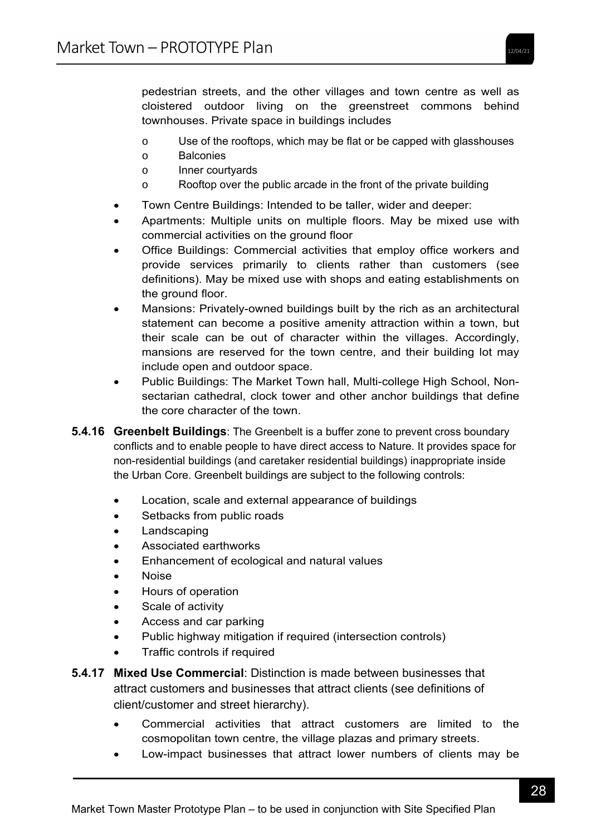pedestrian streets, and the other villages and town centre as well as cloistered outdoor living on the greenstreet commons behind townhouses. Private space in buildings includes

- o Use of the rooftops, which may be flat or be capped with glasshouses
- o Balconies
- o Inner courtyards
- o Rooftop over the public arcade in the front of the private building
- Town Centre Buildings: Intended to be taller, wider and deeper:
- Apartments: Multiple units on multiple floors. May be mixed use with commercial activities on the ground floor
- Office Buildings: Commercial activities that employ office workers and provide services primarily to clients rather than customers (see definitions). May be mixed use with shops and eating establishments on the ground floor.
- Mansions: Privately-owned buildings built by the rich as an architectural statement can become a positive amenity attraction within a town, but their scale can be out of character within the villages. Accordingly, mansions are reserved for the town centre, and their building lot may include open and outdoor space.
- Public Buildings: The Market Town hall, Multi-college High School, Nonsectarian cathedral, clock tower and other anchor buildings that define the core character of the town.
- **5.4.16 Greenbelt Buildings**: The Greenbelt is a buffer zone to prevent cross boundary conflicts and to enable people to have direct access to Nature. It provides space for non-residential buildings (and caretaker residential buildings) inappropriate inside the Urban Core. Greenbelt buildings are subject to the following controls:
	- Location, scale and external appearance of buildings
	- Setbacks from public roads
	- Landscaping
	- Associated earthworks
	- Enhancement of ecological and natural values
	- Noise
	- Hours of operation
	- Scale of activity
	- Access and car parking
	- Public highway mitigation if required (intersection controls)
	- Traffic controls if required
- **5.4.17 Mixed Use Commercial**: Distinction is made between businesses that attract customers and businesses that attract clients (see definitions of client/customer and street hierarchy).
	- Commercial activities that attract customers are limited to the cosmopolitan town centre, the village plazas and primary streets.
	- Low-impact businesses that attract lower numbers of clients may be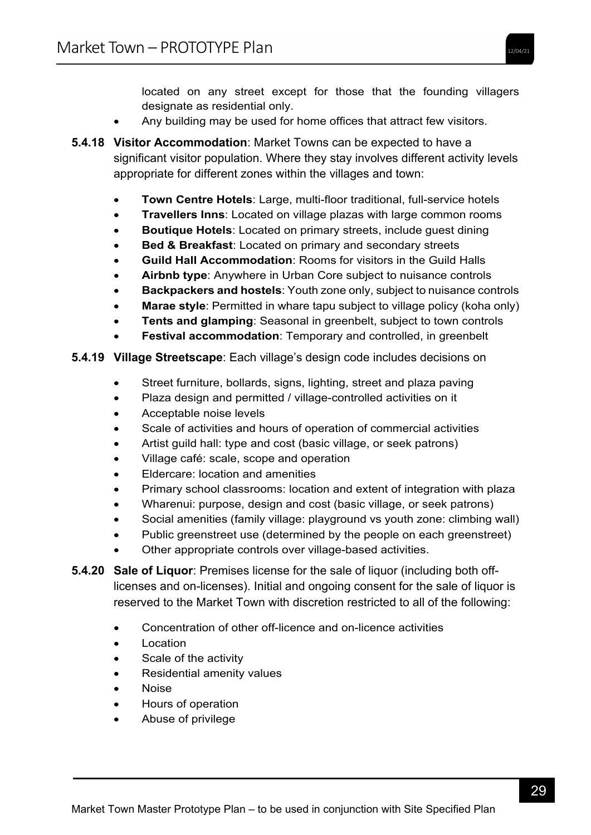located on any street except for those that the founding villagers designate as residential only.

- Any building may be used for home offices that attract few visitors.
- **5.4.18 Visitor Accommodation**: Market Towns can be expected to have a significant visitor population. Where they stay involves different activity levels appropriate for different zones within the villages and town:
	- **Town Centre Hotels**: Large, multi-floor traditional, full-service hotels
	- **Travellers Inns**: Located on village plazas with large common rooms
	- **Boutique Hotels**: Located on primary streets, include guest dining
	- **Bed & Breakfast**: Located on primary and secondary streets
	- **Guild Hall Accommodation**: Rooms for visitors in the Guild Halls
	- **Airbnb type**: Anywhere in Urban Core subject to nuisance controls
	- **Backpackers and hostels**: Youth zone only, subject to nuisance controls
	- **Marae style**: Permitted in whare tapu subject to village policy (koha only)
	- **Tents and glamping**: Seasonal in greenbelt, subject to town controls
	- **Festival accommodation**: Temporary and controlled, in greenbelt

#### **5.4.19 Village Streetscape**: Each village's design code includes decisions on

- Street furniture, bollards, signs, lighting, street and plaza paving
- Plaza design and permitted / village-controlled activities on it
- Acceptable noise levels
- Scale of activities and hours of operation of commercial activities
- Artist guild hall: type and cost (basic village, or seek patrons)
- Village café: scale, scope and operation
- Eldercare: location and amenities
- Primary school classrooms: location and extent of integration with plaza
- Wharenui: purpose, design and cost (basic village, or seek patrons)
- Social amenities (family village: playground vs youth zone: climbing wall)
- Public greenstreet use (determined by the people on each greenstreet)
- Other appropriate controls over village-based activities.
- **5.4.20 Sale of Liquor**: Premises license for the sale of liquor (including both offlicenses and on-licenses). Initial and ongoing consent for the sale of liquor is reserved to the Market Town with discretion restricted to all of the following:
	- Concentration of other off-licence and on-licence activities
	- **Location**
	- Scale of the activity
	- Residential amenity values
	- Noise
	- Hours of operation
	- Abuse of privilege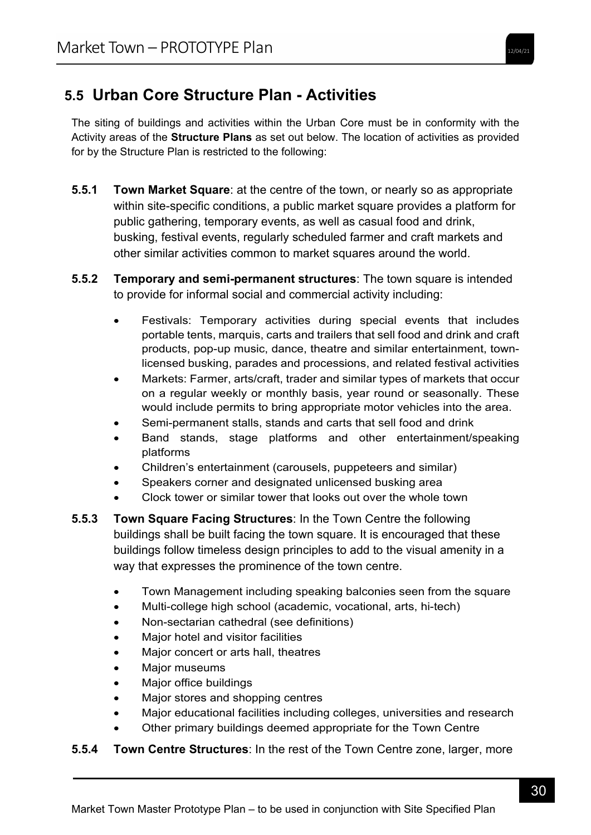### **5.5 Urban Core Structure Plan - Activities**

The siting of buildings and activities within the Urban Core must be in conformity with the Activity areas of the **Structure Plans** as set out below. The location of activities as provided for by the Structure Plan is restricted to the following:

- **5.5.1 Town Market Square**: at the centre of the town, or nearly so as appropriate within site-specific conditions, a public market square provides a platform for public gathering, temporary events, as well as casual food and drink, busking, festival events, regularly scheduled farmer and craft markets and other similar activities common to market squares around the world.
- **5.5.2 Temporary and semi-permanent structures**: The town square is intended to provide for informal social and commercial activity including:
	- Festivals: Temporary activities during special events that includes portable tents, marquis, carts and trailers that sell food and drink and craft products, pop-up music, dance, theatre and similar entertainment, townlicensed busking, parades and processions, and related festival activities
	- Markets: Farmer, arts/craft, trader and similar types of markets that occur on a regular weekly or monthly basis, year round or seasonally. These would include permits to bring appropriate motor vehicles into the area.
	- Semi-permanent stalls, stands and carts that sell food and drink
	- Band stands, stage platforms and other entertainment/speaking platforms
	- Children's entertainment (carousels, puppeteers and similar)
	- Speakers corner and designated unlicensed busking area
	- Clock tower or similar tower that looks out over the whole town
- **5.5.3 Town Square Facing Structures**: In the Town Centre the following buildings shall be built facing the town square. It is encouraged that these buildings follow timeless design principles to add to the visual amenity in a way that expresses the prominence of the town centre.
	- Town Management including speaking balconies seen from the square
	- Multi-college high school (academic, vocational, arts, hi-tech)
	- Non-sectarian cathedral (see definitions)
	- Major hotel and visitor facilities
	- Major concert or arts hall, theatres
	- Major museums
	- Major office buildings
	- Major stores and shopping centres
	- Major educational facilities including colleges, universities and research
	- Other primary buildings deemed appropriate for the Town Centre

### **5.5.4 Town Centre Structures**: In the rest of the Town Centre zone, larger, more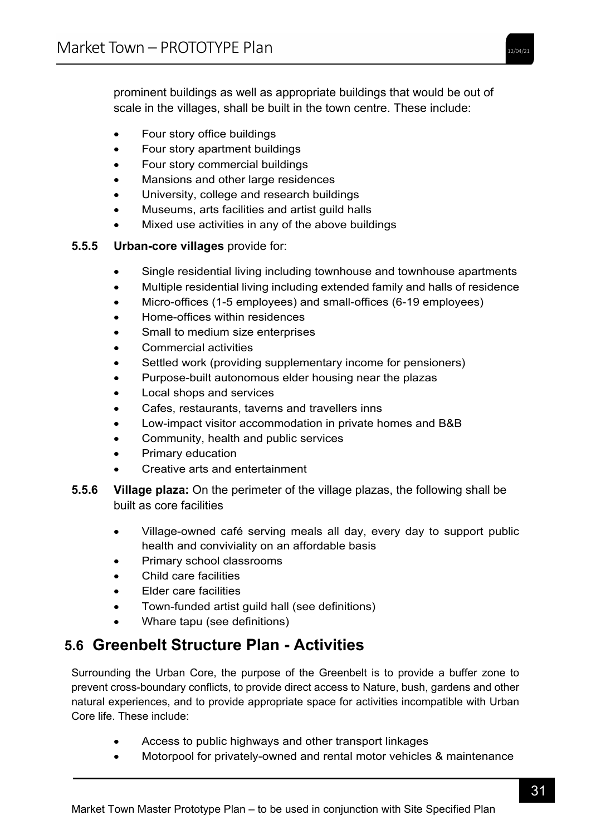prominent buildings as well as appropriate buildings that would be out of scale in the villages, shall be built in the town centre. These include:

- Four story office buildings
- Four story apartment buildings
- Four story commercial buildings
- Mansions and other large residences
- University, college and research buildings
- Museums, arts facilities and artist guild halls
- Mixed use activities in any of the above buildings

#### **5.5.5 Urban-core villages** provide for:

- Single residential living including townhouse and townhouse apartments
- Multiple residential living including extended family and halls of residence
- Micro-offices (1-5 employees) and small-offices (6-19 employees)
- Home-offices within residences
- Small to medium size enterprises
- Commercial activities
- Settled work (providing supplementary income for pensioners)
- Purpose-built autonomous elder housing near the plazas
- Local shops and services
- Cafes, restaurants, taverns and travellers inns
- Low-impact visitor accommodation in private homes and B&B
- Community, health and public services
- Primary education
- Creative arts and entertainment
- **5.5.6 Village plaza:** On the perimeter of the village plazas, the following shall be built as core facilities
	- Village-owned café serving meals all day, every day to support public health and conviviality on an affordable basis
	- Primary school classrooms
	- Child care facilities
	- Elder care facilities
	- Town-funded artist guild hall (see definitions)
	- Whare tapu (see definitions)

### **5.6 Greenbelt Structure Plan - Activities**

Surrounding the Urban Core, the purpose of the Greenbelt is to provide a buffer zone to prevent cross-boundary conflicts, to provide direct access to Nature, bush, gardens and other natural experiences, and to provide appropriate space for activities incompatible with Urban Core life. These include:

- Access to public highways and other transport linkages
- Motorpool for privately-owned and rental motor vehicles & maintenance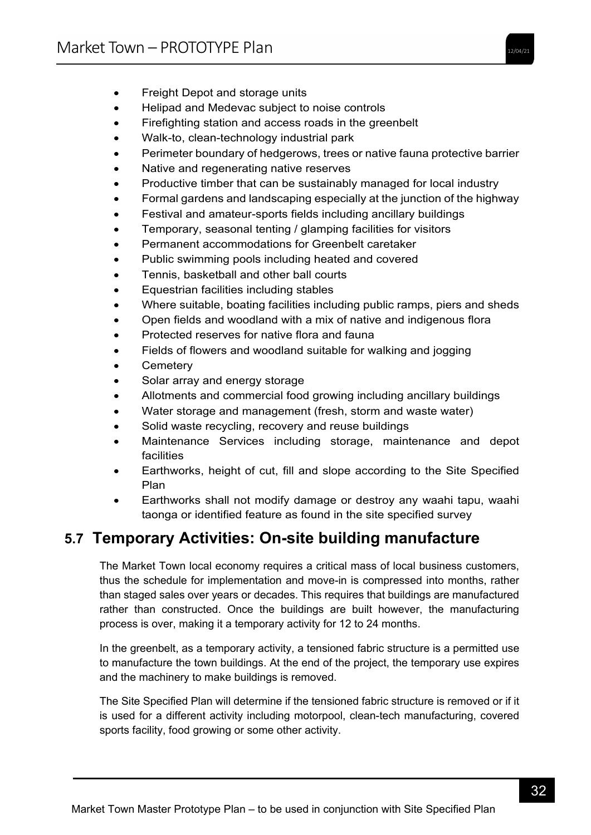- Freight Depot and storage units
- Helipad and Medevac subject to noise controls
- Firefighting station and access roads in the greenbelt
- Walk-to, clean-technology industrial park
- Perimeter boundary of hedgerows, trees or native fauna protective barrier
- Native and regenerating native reserves
- Productive timber that can be sustainably managed for local industry
- Formal gardens and landscaping especially at the junction of the highway
- Festival and amateur-sports fields including ancillary buildings
- Temporary, seasonal tenting / glamping facilities for visitors
- Permanent accommodations for Greenbelt caretaker
- Public swimming pools including heated and covered
- Tennis, basketball and other ball courts
- Equestrian facilities including stables
- Where suitable, boating facilities including public ramps, piers and sheds
- Open fields and woodland with a mix of native and indigenous flora
- Protected reserves for native flora and fauna
- Fields of flowers and woodland suitable for walking and jogging
- **Cemetery**
- Solar array and energy storage
- Allotments and commercial food growing including ancillary buildings
- Water storage and management (fresh, storm and waste water)
- Solid waste recycling, recovery and reuse buildings
- Maintenance Services including storage, maintenance and depot facilities
- Earthworks, height of cut, fill and slope according to the Site Specified Plan
- Earthworks shall not modify damage or destroy any waahi tapu, waahi taonga or identified feature as found in the site specified survey

### **5.7 Temporary Activities: On-site building manufacture**

The Market Town local economy requires a critical mass of local business customers, thus the schedule for implementation and move-in is compressed into months, rather than staged sales over years or decades. This requires that buildings are manufactured rather than constructed. Once the buildings are built however, the manufacturing process is over, making it a temporary activity for 12 to 24 months.

In the greenbelt, as a temporary activity, a tensioned fabric structure is a permitted use to manufacture the town buildings. At the end of the project, the temporary use expires and the machinery to make buildings is removed.

The Site Specified Plan will determine if the tensioned fabric structure is removed or if it is used for a different activity including motorpool, clean-tech manufacturing, covered sports facility, food growing or some other activity.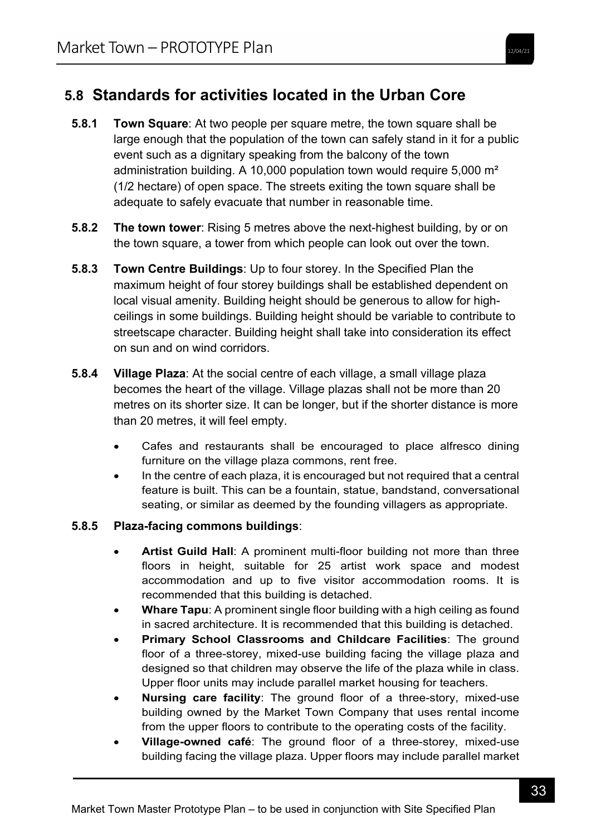### **5.8 Standards for activities located in the Urban Core**

- **5.8.1 Town Square**: At two people per square metre, the town square shall be large enough that the population of the town can safely stand in it for a public event such as a dignitary speaking from the balcony of the town administration building. A 10,000 population town would require 5,000 m² (1/2 hectare) of open space. The streets exiting the town square shall be adequate to safely evacuate that number in reasonable time.
- **5.8.2 The town tower**: Rising 5 metres above the next-highest building, by or on the town square, a tower from which people can look out over the town.
- **5.8.3 Town Centre Buildings**: Up to four storey. In the Specified Plan the maximum height of four storey buildings shall be established dependent on local visual amenity. Building height should be generous to allow for highceilings in some buildings. Building height should be variable to contribute to streetscape character. Building height shall take into consideration its effect on sun and on wind corridors.
- **5.8.4 Village Plaza**: At the social centre of each village, a small village plaza becomes the heart of the village. Village plazas shall not be more than 20 metres on its shorter size. It can be longer, but if the shorter distance is more than 20 metres, it will feel empty.
	- Cafes and restaurants shall be encouraged to place alfresco dining furniture on the village plaza commons, rent free.
	- In the centre of each plaza, it is encouraged but not required that a central feature is built. This can be a fountain, statue, bandstand, conversational seating, or similar as deemed by the founding villagers as appropriate.

### **5.8.5 Plaza-facing commons buildings**:

- **Artist Guild Hall**: A prominent multi-floor building not more than three floors in height, suitable for 25 artist work space and modest accommodation and up to five visitor accommodation rooms. It is recommended that this building is detached.
- **Whare Tapu**: A prominent single floor building with a high ceiling as found in sacred architecture. It is recommended that this building is detached.
- **Primary School Classrooms and Childcare Facilities**: The ground floor of a three-storey, mixed-use building facing the village plaza and designed so that children may observe the life of the plaza while in class. Upper floor units may include parallel market housing for teachers.
- **Nursing care facility**: The ground floor of a three-story, mixed-use building owned by the Market Town Company that uses rental income from the upper floors to contribute to the operating costs of the facility.
- **Village-owned café**: The ground floor of a three-storey, mixed-use building facing the village plaza. Upper floors may include parallel market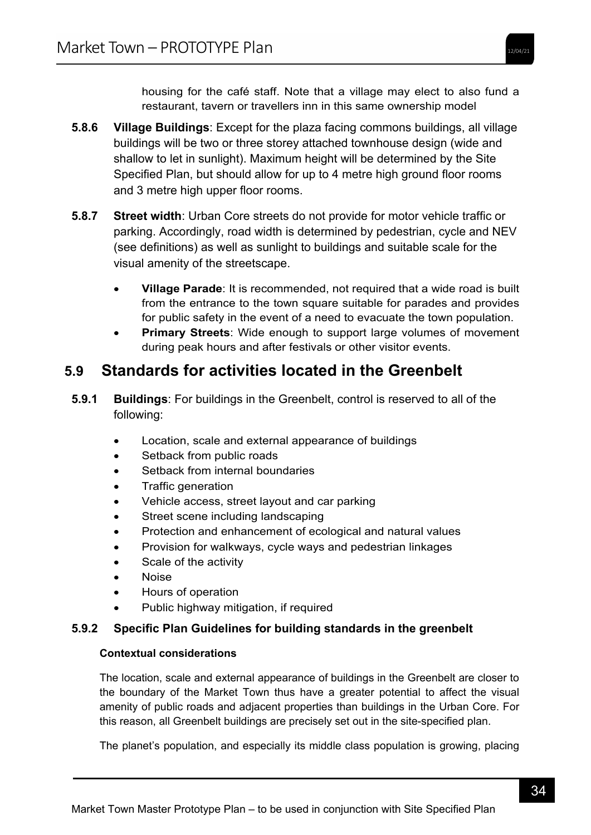housing for the café staff. Note that a village may elect to also fund a restaurant, tavern or travellers inn in this same ownership model

- **5.8.6 Village Buildings**: Except for the plaza facing commons buildings, all village buildings will be two or three storey attached townhouse design (wide and shallow to let in sunlight). Maximum height will be determined by the Site Specified Plan, but should allow for up to 4 metre high ground floor rooms and 3 metre high upper floor rooms.
- **5.8.7 Street width**: Urban Core streets do not provide for motor vehicle traffic or parking. Accordingly, road width is determined by pedestrian, cycle and NEV (see definitions) as well as sunlight to buildings and suitable scale for the visual amenity of the streetscape.
	- **Village Parade**: It is recommended, not required that a wide road is built from the entrance to the town square suitable for parades and provides for public safety in the event of a need to evacuate the town population.
	- **Primary Streets**: Wide enough to support large volumes of movement during peak hours and after festivals or other visitor events.

### **5.9 Standards for activities located in the Greenbelt**

- **5.9.1 Buildings**: For buildings in the Greenbelt, control is reserved to all of the following:
	- Location, scale and external appearance of buildings
	- Setback from public roads
	- Setback from internal boundaries
	- Traffic generation
	- Vehicle access, street layout and car parking
	- Street scene including landscaping
	- Protection and enhancement of ecological and natural values
	- Provision for walkways, cycle ways and pedestrian linkages
	- Scale of the activity
	- Noise
	- Hours of operation
	- Public highway mitigation, if required

### **5.9.2 Specific Plan Guidelines for building standards in the greenbelt**

### **Contextual considerations**

The location, scale and external appearance of buildings in the Greenbelt are closer to the boundary of the Market Town thus have a greater potential to affect the visual amenity of public roads and adjacent properties than buildings in the Urban Core. For this reason, all Greenbelt buildings are precisely set out in the site-specified plan.

The planet's population, and especially its middle class population is growing, placing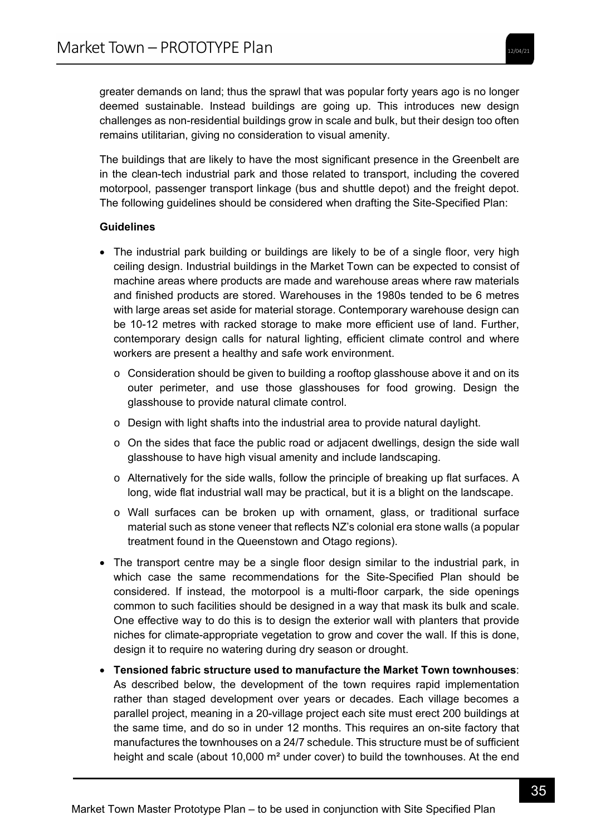greater demands on land; thus the sprawl that was popular forty years ago is no longer deemed sustainable. Instead buildings are going up. This introduces new design challenges as non-residential buildings grow in scale and bulk, but their design too often remains utilitarian, giving no consideration to visual amenity.

The buildings that are likely to have the most significant presence in the Greenbelt are in the clean-tech industrial park and those related to transport, including the covered motorpool, passenger transport linkage (bus and shuttle depot) and the freight depot. The following guidelines should be considered when drafting the Site-Specified Plan:

#### **Guidelines**

- The industrial park building or buildings are likely to be of a single floor, very high ceiling design. Industrial buildings in the Market Town can be expected to consist of machine areas where products are made and warehouse areas where raw materials and finished products are stored. Warehouses in the 1980s tended to be 6 metres with large areas set aside for material storage. Contemporary warehouse design can be 10-12 metres with racked storage to make more efficient use of land. Further, contemporary design calls for natural lighting, efficient climate control and where workers are present a healthy and safe work environment.
	- o Consideration should be given to building a rooftop glasshouse above it and on its outer perimeter, and use those glasshouses for food growing. Design the glasshouse to provide natural climate control.
	- o Design with light shafts into the industrial area to provide natural daylight.
	- o On the sides that face the public road or adjacent dwellings, design the side wall glasshouse to have high visual amenity and include landscaping.
	- o Alternatively for the side walls, follow the principle of breaking up flat surfaces. A long, wide flat industrial wall may be practical, but it is a blight on the landscape.
	- o Wall surfaces can be broken up with ornament, glass, or traditional surface material such as stone veneer that reflects NZ's colonial era stone walls (a popular treatment found in the Queenstown and Otago regions).
- The transport centre may be a single floor design similar to the industrial park, in which case the same recommendations for the Site-Specified Plan should be considered. If instead, the motorpool is a multi-floor carpark, the side openings common to such facilities should be designed in a way that mask its bulk and scale. One effective way to do this is to design the exterior wall with planters that provide niches for climate-appropriate vegetation to grow and cover the wall. If this is done, design it to require no watering during dry season or drought.
- **Tensioned fabric structure used to manufacture the Market Town townhouses**: As described below, the development of the town requires rapid implementation rather than staged development over years or decades. Each village becomes a parallel project, meaning in a 20-village project each site must erect 200 buildings at the same time, and do so in under 12 months. This requires an on-site factory that manufactures the townhouses on a 24/7 schedule. This structure must be of sufficient height and scale (about 10,000 m<sup>2</sup> under cover) to build the townhouses. At the end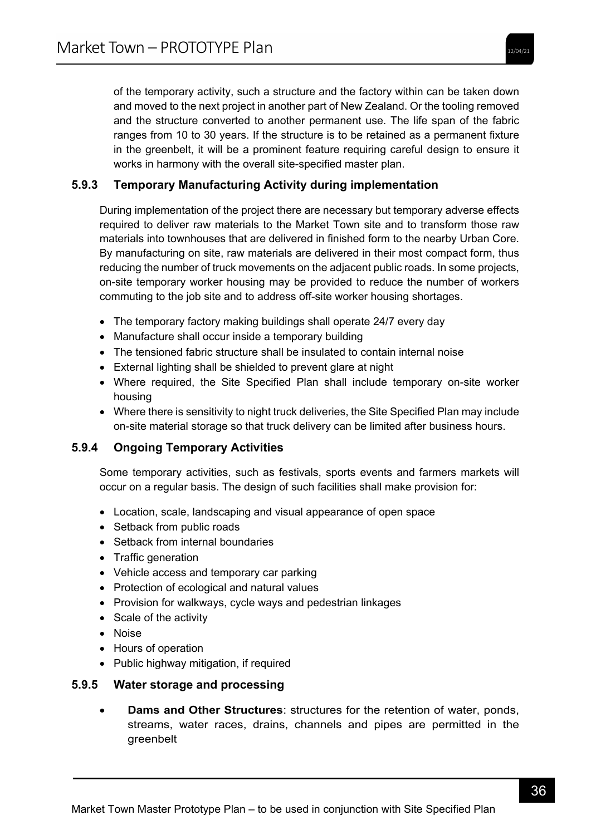of the temporary activity, such a structure and the factory within can be taken down and moved to the next project in another part of New Zealand. Or the tooling removed and the structure converted to another permanent use. The life span of the fabric ranges from 10 to 30 years. If the structure is to be retained as a permanent fixture in the greenbelt, it will be a prominent feature requiring careful design to ensure it works in harmony with the overall site-specified master plan.

### **5.9.3 Temporary Manufacturing Activity during implementation**

During implementation of the project there are necessary but temporary adverse effects required to deliver raw materials to the Market Town site and to transform those raw materials into townhouses that are delivered in finished form to the nearby Urban Core. By manufacturing on site, raw materials are delivered in their most compact form, thus reducing the number of truck movements on the adjacent public roads. In some projects, on-site temporary worker housing may be provided to reduce the number of workers commuting to the job site and to address off-site worker housing shortages.

- The temporary factory making buildings shall operate 24/7 every day
- Manufacture shall occur inside a temporary building
- The tensioned fabric structure shall be insulated to contain internal noise
- External lighting shall be shielded to prevent glare at night
- Where required, the Site Specified Plan shall include temporary on-site worker housing
- Where there is sensitivity to night truck deliveries, the Site Specified Plan may include on-site material storage so that truck delivery can be limited after business hours.

### **5.9.4 Ongoing Temporary Activities**

Some temporary activities, such as festivals, sports events and farmers markets will occur on a regular basis. The design of such facilities shall make provision for:

- Location, scale, landscaping and visual appearance of open space
- Setback from public roads
- Setback from internal boundaries
- Traffic generation
- Vehicle access and temporary car parking
- Protection of ecological and natural values
- Provision for walkways, cycle ways and pedestrian linkages
- Scale of the activity
- Noise
- Hours of operation
- Public highway mitigation, if required

### **5.9.5 Water storage and processing**

 **Dams and Other Structures**: structures for the retention of water, ponds, streams, water races, drains, channels and pipes are permitted in the greenbelt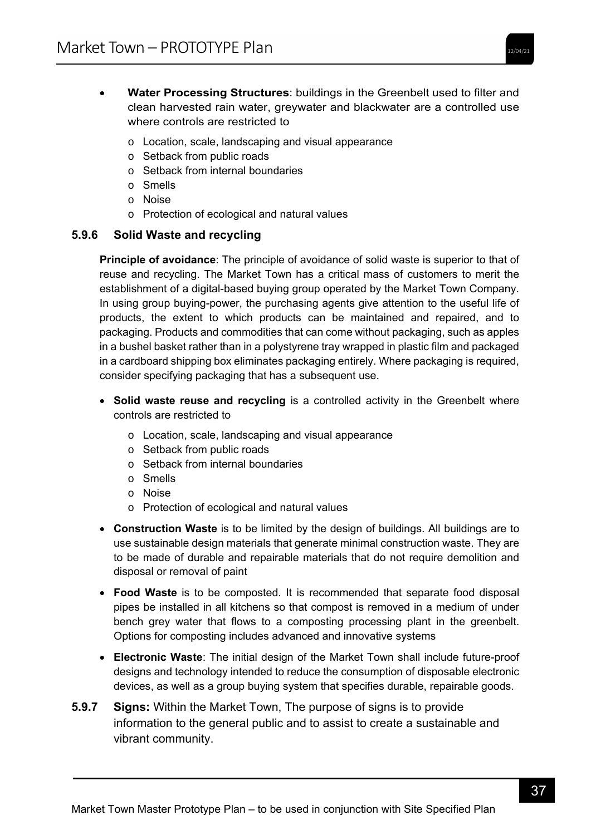- **Water Processing Structures**: buildings in the Greenbelt used to filter and clean harvested rain water, greywater and blackwater are a controlled use where controls are restricted to
	- o Location, scale, landscaping and visual appearance
	- o Setback from public roads
	- o Setback from internal boundaries
	- o Smells
	- o Noise
	- o Protection of ecological and natural values

### **5.9.6 Solid Waste and recycling**

**Principle of avoidance**: The principle of avoidance of solid waste is superior to that of reuse and recycling. The Market Town has a critical mass of customers to merit the establishment of a digital-based buying group operated by the Market Town Company. In using group buying-power, the purchasing agents give attention to the useful life of products, the extent to which products can be maintained and repaired, and to packaging. Products and commodities that can come without packaging, such as apples in a bushel basket rather than in a polystyrene tray wrapped in plastic film and packaged in a cardboard shipping box eliminates packaging entirely. Where packaging is required, consider specifying packaging that has a subsequent use.

- **Solid waste reuse and recycling** is a controlled activity in the Greenbelt where controls are restricted to
	- o Location, scale, landscaping and visual appearance
	- o Setback from public roads
	- o Setback from internal boundaries
	- o Smells
	- o Noise
	- o Protection of ecological and natural values
- **Construction Waste** is to be limited by the design of buildings. All buildings are to use sustainable design materials that generate minimal construction waste. They are to be made of durable and repairable materials that do not require demolition and disposal or removal of paint
- **Food Waste** is to be composted. It is recommended that separate food disposal pipes be installed in all kitchens so that compost is removed in a medium of under bench grey water that flows to a composting processing plant in the greenbelt. Options for composting includes advanced and innovative systems
- **Electronic Waste**: The initial design of the Market Town shall include future-proof designs and technology intended to reduce the consumption of disposable electronic devices, as well as a group buying system that specifies durable, repairable goods.
- **5.9.7 Signs:** Within the Market Town, The purpose of signs is to provide information to the general public and to assist to create a sustainable and vibrant community.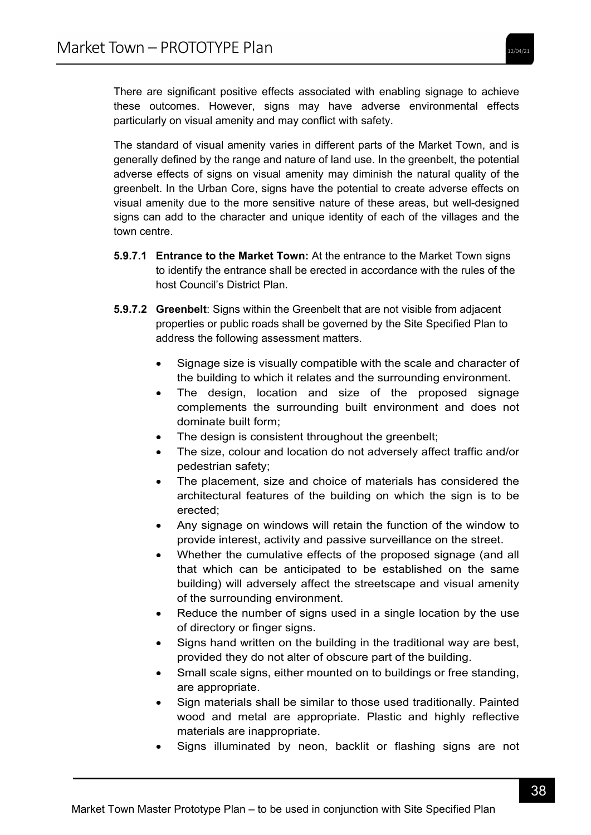There are significant positive effects associated with enabling signage to achieve these outcomes. However, signs may have adverse environmental effects particularly on visual amenity and may conflict with safety.

The standard of visual amenity varies in different parts of the Market Town, and is generally defined by the range and nature of land use. In the greenbelt, the potential adverse effects of signs on visual amenity may diminish the natural quality of the greenbelt. In the Urban Core, signs have the potential to create adverse effects on visual amenity due to the more sensitive nature of these areas, but well-designed signs can add to the character and unique identity of each of the villages and the town centre.

- **5.9.7.1 Entrance to the Market Town:** At the entrance to the Market Town signs to identify the entrance shall be erected in accordance with the rules of the host Council's District Plan.
- **5.9.7.2 Greenbelt**: Signs within the Greenbelt that are not visible from adjacent properties or public roads shall be governed by the Site Specified Plan to address the following assessment matters.
	- Signage size is visually compatible with the scale and character of the building to which it relates and the surrounding environment.
	- The design, location and size of the proposed signage complements the surrounding built environment and does not dominate built form;
	- The design is consistent throughout the greenbelt;
	- The size, colour and location do not adversely affect traffic and/or pedestrian safety;
	- The placement, size and choice of materials has considered the architectural features of the building on which the sign is to be erected;
	- Any signage on windows will retain the function of the window to provide interest, activity and passive surveillance on the street.
	- Whether the cumulative effects of the proposed signage (and all that which can be anticipated to be established on the same building) will adversely affect the streetscape and visual amenity of the surrounding environment.
	- Reduce the number of signs used in a single location by the use of directory or finger signs.
	- Signs hand written on the building in the traditional way are best, provided they do not alter of obscure part of the building.
	- Small scale signs, either mounted on to buildings or free standing, are appropriate.
	- Sign materials shall be similar to those used traditionally. Painted wood and metal are appropriate. Plastic and highly reflective materials are inappropriate.
	- Signs illuminated by neon, backlit or flashing signs are not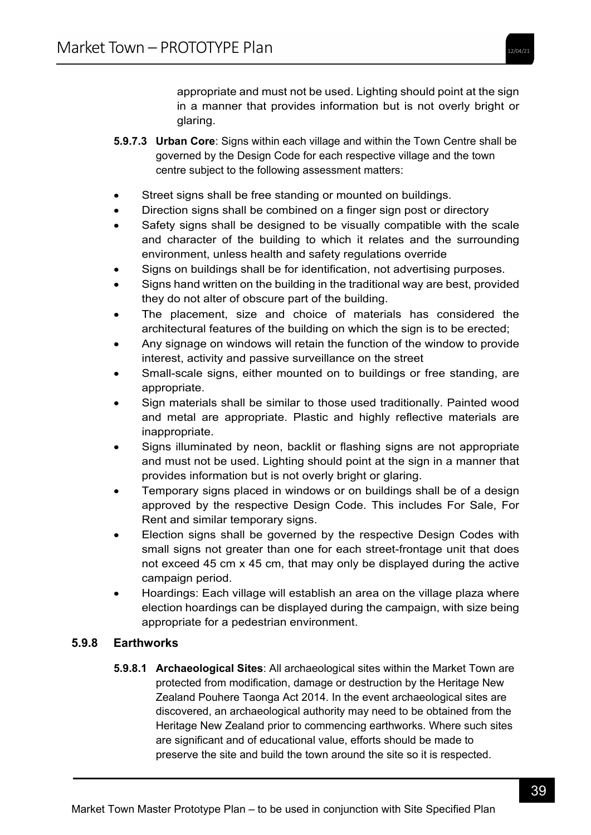appropriate and must not be used. Lighting should point at the sign in a manner that provides information but is not overly bright or glaring.

- **5.9.7.3 Urban Core**: Signs within each village and within the Town Centre shall be governed by the Design Code for each respective village and the town centre subject to the following assessment matters:
- Street signs shall be free standing or mounted on buildings.
- Direction signs shall be combined on a finger sign post or directory
- Safety signs shall be designed to be visually compatible with the scale and character of the building to which it relates and the surrounding environment, unless health and safety regulations override
- Signs on buildings shall be for identification, not advertising purposes.
- Signs hand written on the building in the traditional way are best, provided they do not alter of obscure part of the building.
- The placement, size and choice of materials has considered the architectural features of the building on which the sign is to be erected;
- Any signage on windows will retain the function of the window to provide interest, activity and passive surveillance on the street
- Small-scale signs, either mounted on to buildings or free standing, are appropriate.
- Sign materials shall be similar to those used traditionally. Painted wood and metal are appropriate. Plastic and highly reflective materials are inappropriate.
- Signs illuminated by neon, backlit or flashing signs are not appropriate and must not be used. Lighting should point at the sign in a manner that provides information but is not overly bright or glaring.
- Temporary signs placed in windows or on buildings shall be of a design approved by the respective Design Code. This includes For Sale, For Rent and similar temporary signs.
- Election signs shall be governed by the respective Design Codes with small signs not greater than one for each street-frontage unit that does not exceed 45 cm x 45 cm, that may only be displayed during the active campaign period.
- Hoardings: Each village will establish an area on the village plaza where election hoardings can be displayed during the campaign, with size being appropriate for a pedestrian environment.

### **5.9.8 Earthworks**

**5.9.8.1 Archaeological Sites**: All archaeological sites within the Market Town are protected from modification, damage or destruction by the Heritage New Zealand Pouhere Taonga Act 2014. In the event archaeological sites are discovered, an archaeological authority may need to be obtained from the Heritage New Zealand prior to commencing earthworks. Where such sites are significant and of educational value, efforts should be made to preserve the site and build the town around the site so it is respected.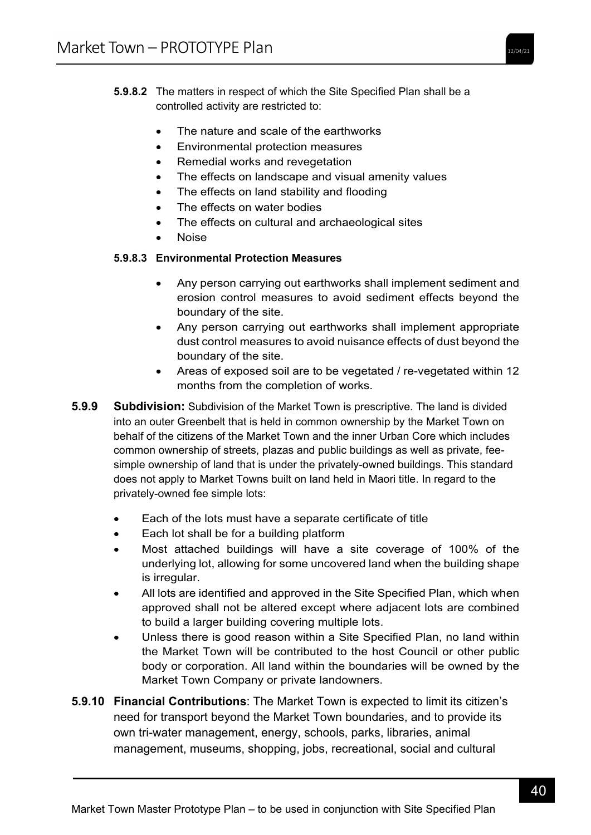- **5.9.8.2** The matters in respect of which the Site Specified Plan shall be a controlled activity are restricted to:
	- The nature and scale of the earthworks
	- Environmental protection measures
	- Remedial works and revegetation
	- The effects on landscape and visual amenity values
	- The effects on land stability and flooding
	- The effects on water bodies
	- The effects on cultural and archaeological sites
	- Noise

### **5.9.8.3 Environmental Protection Measures**

- Any person carrying out earthworks shall implement sediment and erosion control measures to avoid sediment effects beyond the boundary of the site.
- Any person carrying out earthworks shall implement appropriate dust control measures to avoid nuisance effects of dust beyond the boundary of the site.
- Areas of exposed soil are to be vegetated / re-vegetated within 12 months from the completion of works.
- **5.9.9 Subdivision:** Subdivision of the Market Town is prescriptive. The land is divided into an outer Greenbelt that is held in common ownership by the Market Town on behalf of the citizens of the Market Town and the inner Urban Core which includes common ownership of streets, plazas and public buildings as well as private, feesimple ownership of land that is under the privately-owned buildings. This standard does not apply to Market Towns built on land held in Maori title. In regard to the privately-owned fee simple lots:
	- Each of the lots must have a separate certificate of title
	- Each lot shall be for a building platform
	- Most attached buildings will have a site coverage of 100% of the underlying lot, allowing for some uncovered land when the building shape is irregular.
	- All lots are identified and approved in the Site Specified Plan, which when approved shall not be altered except where adjacent lots are combined to build a larger building covering multiple lots.
	- Unless there is good reason within a Site Specified Plan, no land within the Market Town will be contributed to the host Council or other public body or corporation. All land within the boundaries will be owned by the Market Town Company or private landowners.
- **5.9.10 Financial Contributions**: The Market Town is expected to limit its citizen's need for transport beyond the Market Town boundaries, and to provide its own tri-water management, energy, schools, parks, libraries, animal management, museums, shopping, jobs, recreational, social and cultural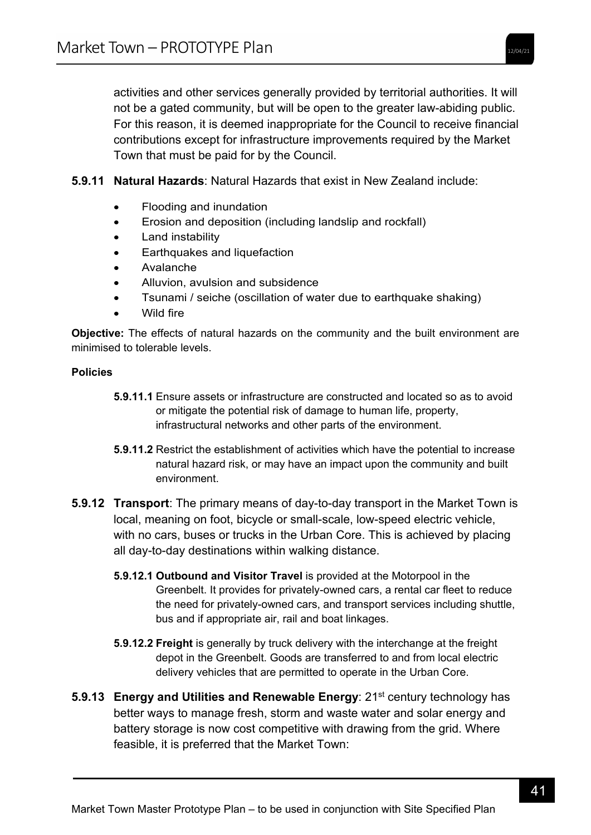activities and other services generally provided by territorial authorities. It will not be a gated community, but will be open to the greater law-abiding public. For this reason, it is deemed inappropriate for the Council to receive financial contributions except for infrastructure improvements required by the Market Town that must be paid for by the Council.

- **5.9.11 Natural Hazards**: Natural Hazards that exist in New Zealand include:
	- Flooding and inundation
	- Erosion and deposition (including landslip and rockfall)
	- Land instability
	- Earthquakes and liquefaction
	- Avalanche
	- Alluvion, avulsion and subsidence
	- Tsunami / seiche (oscillation of water due to earthquake shaking)
	- Wild fire

**Objective:** The effects of natural hazards on the community and the built environment are minimised to tolerable levels.

#### **Policies**

- **5.9.11.1** Ensure assets or infrastructure are constructed and located so as to avoid or mitigate the potential risk of damage to human life, property, infrastructural networks and other parts of the environment.
- **5.9.11.2** Restrict the establishment of activities which have the potential to increase natural hazard risk, or may have an impact upon the community and built environment.
- **5.9.12 Transport**: The primary means of day-to-day transport in the Market Town is local, meaning on foot, bicycle or small-scale, low-speed electric vehicle, with no cars, buses or trucks in the Urban Core. This is achieved by placing all day-to-day destinations within walking distance.
	- **5.9.12.1 Outbound and Visitor Travel** is provided at the Motorpool in the Greenbelt. It provides for privately-owned cars, a rental car fleet to reduce the need for privately-owned cars, and transport services including shuttle, bus and if appropriate air, rail and boat linkages.
	- **5.9.12.2 Freight** is generally by truck delivery with the interchange at the freight depot in the Greenbelt. Goods are transferred to and from local electric delivery vehicles that are permitted to operate in the Urban Core.
- **5.9.13 Energy and Utilities and Renewable Energy: 21<sup>st</sup> century technology has** better ways to manage fresh, storm and waste water and solar energy and battery storage is now cost competitive with drawing from the grid. Where feasible, it is preferred that the Market Town: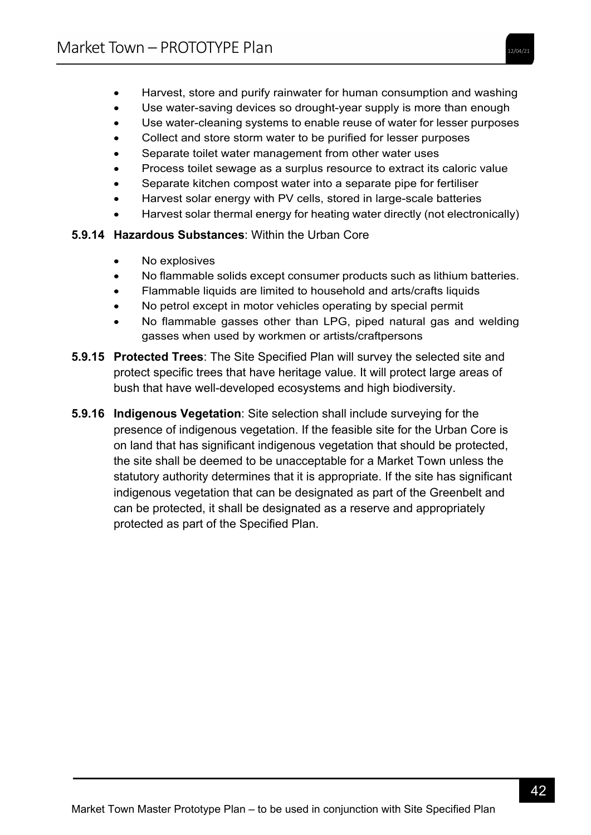- Harvest, store and purify rainwater for human consumption and washing
- Use water-saving devices so drought-year supply is more than enough
- Use water-cleaning systems to enable reuse of water for lesser purposes
- Collect and store storm water to be purified for lesser purposes
- Separate toilet water management from other water uses
- Process toilet sewage as a surplus resource to extract its caloric value
- Separate kitchen compost water into a separate pipe for fertiliser
- Harvest solar energy with PV cells, stored in large-scale batteries
- Harvest solar thermal energy for heating water directly (not electronically)

### **5.9.14 Hazardous Substances**: Within the Urban Core

- No explosives
- No flammable solids except consumer products such as lithium batteries.
- Flammable liquids are limited to household and arts/crafts liquids
- No petrol except in motor vehicles operating by special permit
- No flammable gasses other than LPG, piped natural gas and welding gasses when used by workmen or artists/craftpersons
- **5.9.15 Protected Trees**: The Site Specified Plan will survey the selected site and protect specific trees that have heritage value. It will protect large areas of bush that have well-developed ecosystems and high biodiversity.
- **5.9.16 Indigenous Vegetation**: Site selection shall include surveying for the presence of indigenous vegetation. If the feasible site for the Urban Core is on land that has significant indigenous vegetation that should be protected, the site shall be deemed to be unacceptable for a Market Town unless the statutory authority determines that it is appropriate. If the site has significant indigenous vegetation that can be designated as part of the Greenbelt and can be protected, it shall be designated as a reserve and appropriately protected as part of the Specified Plan.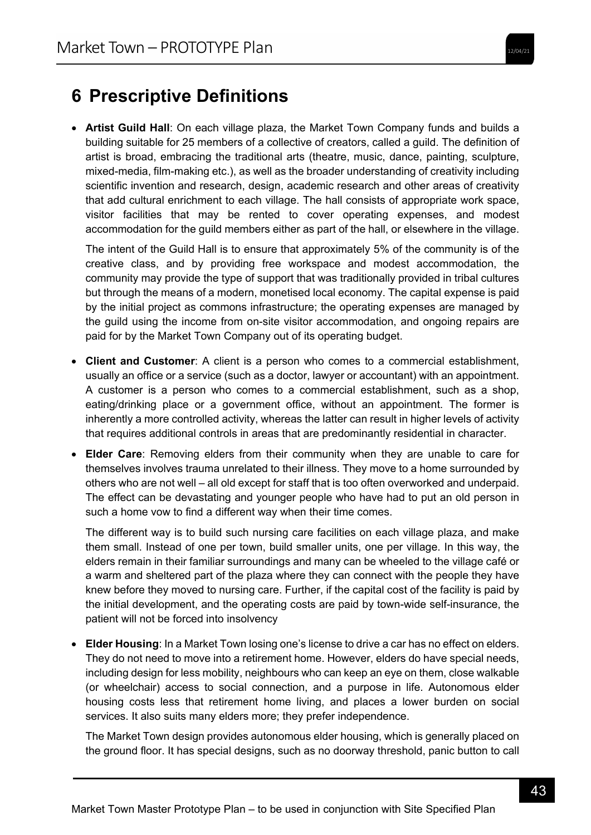# **6 Prescriptive Definitions**

 **Artist Guild Hall**: On each village plaza, the Market Town Company funds and builds a building suitable for 25 members of a collective of creators, called a guild. The definition of artist is broad, embracing the traditional arts (theatre, music, dance, painting, sculpture, mixed-media, film-making etc.), as well as the broader understanding of creativity including scientific invention and research, design, academic research and other areas of creativity that add cultural enrichment to each village. The hall consists of appropriate work space, visitor facilities that may be rented to cover operating expenses, and modest accommodation for the guild members either as part of the hall, or elsewhere in the village.

The intent of the Guild Hall is to ensure that approximately 5% of the community is of the creative class, and by providing free workspace and modest accommodation, the community may provide the type of support that was traditionally provided in tribal cultures but through the means of a modern, monetised local economy. The capital expense is paid by the initial project as commons infrastructure; the operating expenses are managed by the guild using the income from on-site visitor accommodation, and ongoing repairs are paid for by the Market Town Company out of its operating budget.

- **Client and Customer**: A client is a person who comes to a commercial establishment, usually an office or a service (such as a doctor, lawyer or accountant) with an appointment. A customer is a person who comes to a commercial establishment, such as a shop, eating/drinking place or a government office, without an appointment. The former is inherently a more controlled activity, whereas the latter can result in higher levels of activity that requires additional controls in areas that are predominantly residential in character.
- **Elder Care**: Removing elders from their community when they are unable to care for themselves involves trauma unrelated to their illness. They move to a home surrounded by others who are not well – all old except for staff that is too often overworked and underpaid. The effect can be devastating and younger people who have had to put an old person in such a home vow to find a different way when their time comes.

The different way is to build such nursing care facilities on each village plaza, and make them small. Instead of one per town, build smaller units, one per village. In this way, the elders remain in their familiar surroundings and many can be wheeled to the village café or a warm and sheltered part of the plaza where they can connect with the people they have knew before they moved to nursing care. Further, if the capital cost of the facility is paid by the initial development, and the operating costs are paid by town-wide self-insurance, the patient will not be forced into insolvency

 **Elder Housing**: In a Market Town losing one's license to drive a car has no effect on elders. They do not need to move into a retirement home. However, elders do have special needs, including design for less mobility, neighbours who can keep an eye on them, close walkable (or wheelchair) access to social connection, and a purpose in life. Autonomous elder housing costs less that retirement home living, and places a lower burden on social services. It also suits many elders more; they prefer independence.

The Market Town design provides autonomous elder housing, which is generally placed on the ground floor. It has special designs, such as no doorway threshold, panic button to call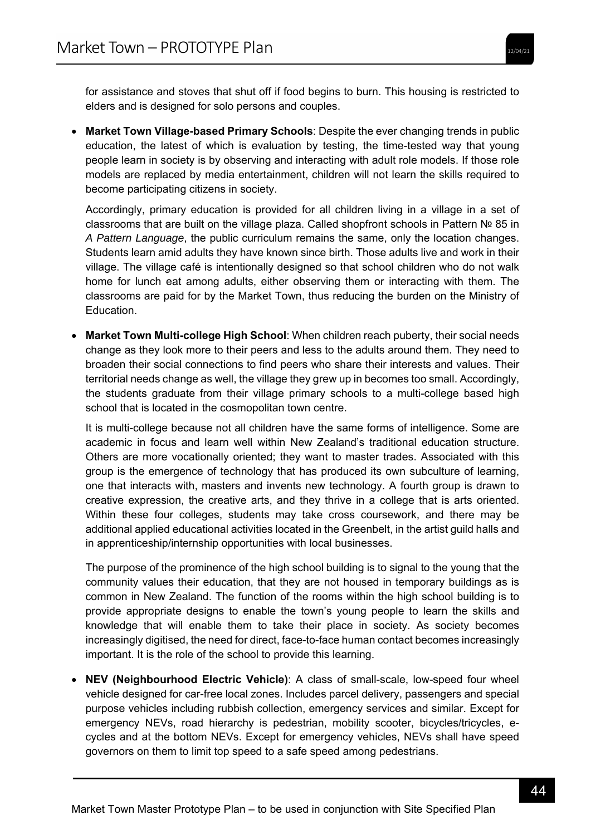for assistance and stoves that shut off if food begins to burn. This housing is restricted to elders and is designed for solo persons and couples.

 **Market Town Village-based Primary Schools**: Despite the ever changing trends in public education, the latest of which is evaluation by testing, the time-tested way that young people learn in society is by observing and interacting with adult role models. If those role models are replaced by media entertainment, children will not learn the skills required to become participating citizens in society.

Accordingly, primary education is provided for all children living in a village in a set of classrooms that are built on the village plaza. Called shopfront schools in Pattern № 85 in *A Pattern Language*, the public curriculum remains the same, only the location changes. Students learn amid adults they have known since birth. Those adults live and work in their village. The village café is intentionally designed so that school children who do not walk home for lunch eat among adults, either observing them or interacting with them. The classrooms are paid for by the Market Town, thus reducing the burden on the Ministry of Education.

 **Market Town Multi-college High School**: When children reach puberty, their social needs change as they look more to their peers and less to the adults around them. They need to broaden their social connections to find peers who share their interests and values. Their territorial needs change as well, the village they grew up in becomes too small. Accordingly, the students graduate from their village primary schools to a multi-college based high school that is located in the cosmopolitan town centre.

It is multi-college because not all children have the same forms of intelligence. Some are academic in focus and learn well within New Zealand's traditional education structure. Others are more vocationally oriented; they want to master trades. Associated with this group is the emergence of technology that has produced its own subculture of learning, one that interacts with, masters and invents new technology. A fourth group is drawn to creative expression, the creative arts, and they thrive in a college that is arts oriented. Within these four colleges, students may take cross coursework, and there may be additional applied educational activities located in the Greenbelt, in the artist guild halls and in apprenticeship/internship opportunities with local businesses.

The purpose of the prominence of the high school building is to signal to the young that the community values their education, that they are not housed in temporary buildings as is common in New Zealand. The function of the rooms within the high school building is to provide appropriate designs to enable the town's young people to learn the skills and knowledge that will enable them to take their place in society. As society becomes increasingly digitised, the need for direct, face-to-face human contact becomes increasingly important. It is the role of the school to provide this learning.

 **NEV (Neighbourhood Electric Vehicle)**: A class of small-scale, low-speed four wheel vehicle designed for car-free local zones. Includes parcel delivery, passengers and special purpose vehicles including rubbish collection, emergency services and similar. Except for emergency NEVs, road hierarchy is pedestrian, mobility scooter, bicycles/tricycles, ecycles and at the bottom NEVs. Except for emergency vehicles, NEVs shall have speed governors on them to limit top speed to a safe speed among pedestrians.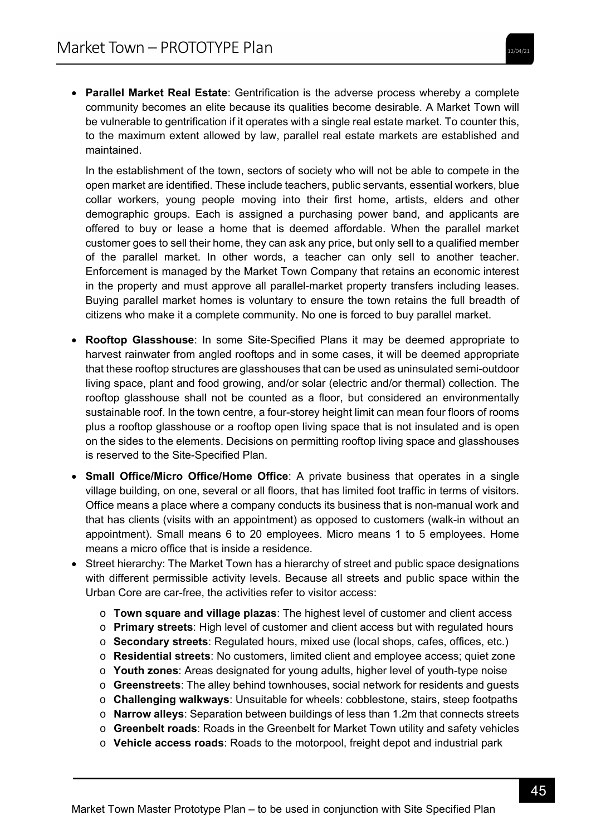**Parallel Market Real Estate**: Gentrification is the adverse process whereby a complete community becomes an elite because its qualities become desirable. A Market Town will be vulnerable to gentrification if it operates with a single real estate market. To counter this, to the maximum extent allowed by law, parallel real estate markets are established and maintained.

In the establishment of the town, sectors of society who will not be able to compete in the open market are identified. These include teachers, public servants, essential workers, blue collar workers, young people moving into their first home, artists, elders and other demographic groups. Each is assigned a purchasing power band, and applicants are offered to buy or lease a home that is deemed affordable. When the parallel market customer goes to sell their home, they can ask any price, but only sell to a qualified member of the parallel market. In other words, a teacher can only sell to another teacher. Enforcement is managed by the Market Town Company that retains an economic interest in the property and must approve all parallel-market property transfers including leases. Buying parallel market homes is voluntary to ensure the town retains the full breadth of citizens who make it a complete community. No one is forced to buy parallel market.

- **Rooftop Glasshouse**: In some Site-Specified Plans it may be deemed appropriate to harvest rainwater from angled rooftops and in some cases, it will be deemed appropriate that these rooftop structures are glasshouses that can be used as uninsulated semi-outdoor living space, plant and food growing, and/or solar (electric and/or thermal) collection. The rooftop glasshouse shall not be counted as a floor, but considered an environmentally sustainable roof. In the town centre, a four-storey height limit can mean four floors of rooms plus a rooftop glasshouse or a rooftop open living space that is not insulated and is open on the sides to the elements. Decisions on permitting rooftop living space and glasshouses is reserved to the Site-Specified Plan.
- **Small Office/Micro Office/Home Office**: A private business that operates in a single village building, on one, several or all floors, that has limited foot traffic in terms of visitors. Office means a place where a company conducts its business that is non-manual work and that has clients (visits with an appointment) as opposed to customers (walk-in without an appointment). Small means 6 to 20 employees. Micro means 1 to 5 employees. Home means a micro office that is inside a residence.
- Street hierarchy: The Market Town has a hierarchy of street and public space designations with different permissible activity levels. Because all streets and public space within the Urban Core are car-free, the activities refer to visitor access:
	- o **Town square and village plazas**: The highest level of customer and client access
	- o **Primary streets**: High level of customer and client access but with regulated hours
	- o **Secondary streets**: Regulated hours, mixed use (local shops, cafes, offices, etc.)
	- o **Residential streets**: No customers, limited client and employee access; quiet zone
	- o **Youth zones**: Areas designated for young adults, higher level of youth-type noise
	- o **Greenstreets**: The alley behind townhouses, social network for residents and guests
	- o **Challenging walkways**: Unsuitable for wheels: cobblestone, stairs, steep footpaths
	- o **Narrow alleys**: Separation between buildings of less than 1.2m that connects streets
	- o **Greenbelt roads**: Roads in the Greenbelt for Market Town utility and safety vehicles
	- o **Vehicle access roads**: Roads to the motorpool, freight depot and industrial park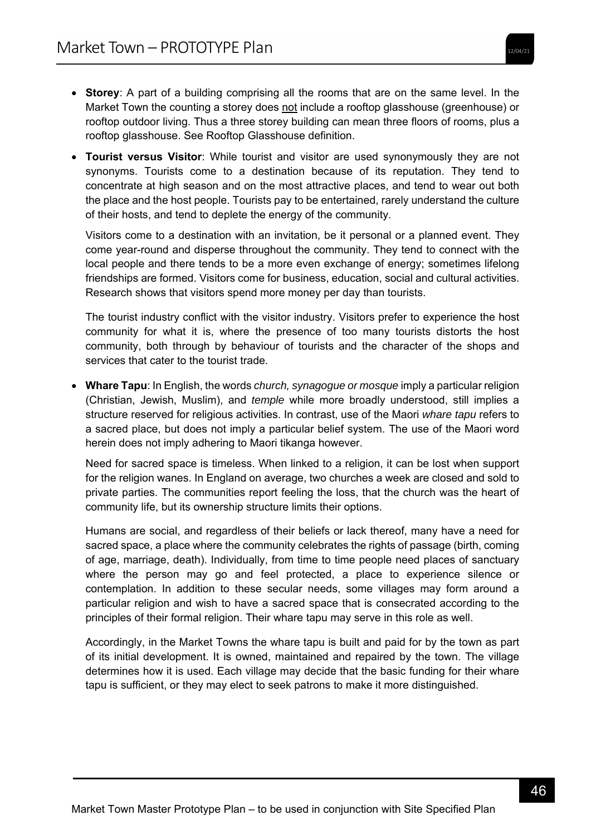- **Storey**: A part of a building comprising all the rooms that are on the same level. In the Market Town the counting a storey does not include a rooftop glasshouse (greenhouse) or rooftop outdoor living. Thus a three storey building can mean three floors of rooms, plus a rooftop glasshouse. See Rooftop Glasshouse definition.
- **Tourist versus Visitor**: While tourist and visitor are used synonymously they are not synonyms. Tourists come to a destination because of its reputation. They tend to concentrate at high season and on the most attractive places, and tend to wear out both the place and the host people. Tourists pay to be entertained, rarely understand the culture of their hosts, and tend to deplete the energy of the community.

Visitors come to a destination with an invitation, be it personal or a planned event. They come year-round and disperse throughout the community. They tend to connect with the local people and there tends to be a more even exchange of energy; sometimes lifelong friendships are formed. Visitors come for business, education, social and cultural activities. Research shows that visitors spend more money per day than tourists.

The tourist industry conflict with the visitor industry. Visitors prefer to experience the host community for what it is, where the presence of too many tourists distorts the host community, both through by behaviour of tourists and the character of the shops and services that cater to the tourist trade.

 **Whare Tapu**: In English, the words *church, synagogue or mosque* imply a particular religion (Christian, Jewish, Muslim), and *temple* while more broadly understood, still implies a structure reserved for religious activities. In contrast, use of the Maori *whare tapu* refers to a sacred place, but does not imply a particular belief system. The use of the Maori word herein does not imply adhering to Maori tikanga however.

Need for sacred space is timeless. When linked to a religion, it can be lost when support for the religion wanes. In England on average, two churches a week are closed and sold to private parties. The communities report feeling the loss, that the church was the heart of community life, but its ownership structure limits their options.

Humans are social, and regardless of their beliefs or lack thereof, many have a need for sacred space, a place where the community celebrates the rights of passage (birth, coming of age, marriage, death). Individually, from time to time people need places of sanctuary where the person may go and feel protected, a place to experience silence or contemplation. In addition to these secular needs, some villages may form around a particular religion and wish to have a sacred space that is consecrated according to the principles of their formal religion. Their whare tapu may serve in this role as well.

Accordingly, in the Market Towns the whare tapu is built and paid for by the town as part of its initial development. It is owned, maintained and repaired by the town. The village determines how it is used. Each village may decide that the basic funding for their whare tapu is sufficient, or they may elect to seek patrons to make it more distinguished.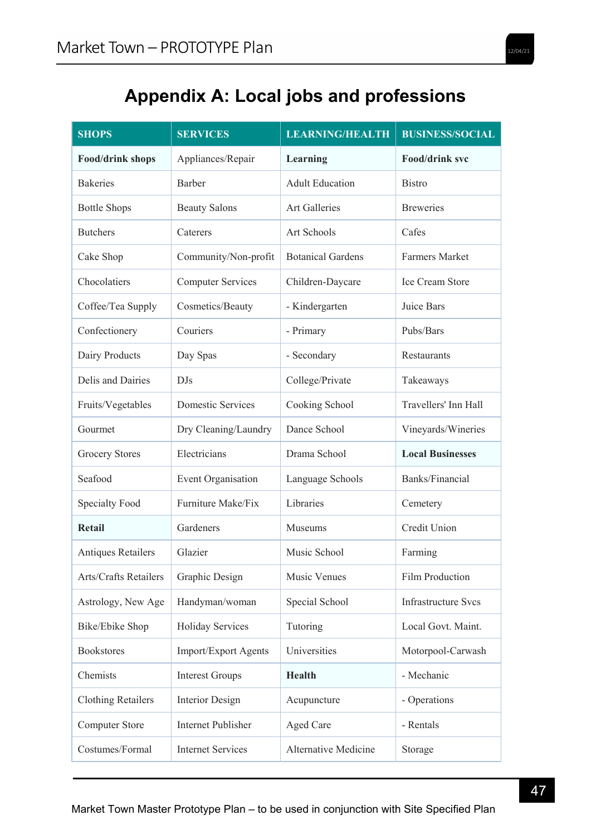| <b>SHOPS</b>            | <b>SERVICES</b>           | <b>LEARNING/HEALTH</b>   | <b>BUSINESS/SOCIAL</b>     |
|-------------------------|---------------------------|--------------------------|----------------------------|
| <b>Food/drink shops</b> | Appliances/Repair         | Learning                 | <b>Food/drink svc</b>      |
| <b>Bakeries</b>         | Barber                    | <b>Adult Education</b>   | <b>Bistro</b>              |
| <b>Bottle Shops</b>     | <b>Beauty Salons</b>      | Art Galleries            | <b>Breweries</b>           |
| <b>Butchers</b>         | Caterers                  | Art Schools              | Cafes                      |
| Cake Shop               | Community/Non-profit      | <b>Botanical Gardens</b> | Farmers Market             |
| Chocolatiers            | <b>Computer Services</b>  | Children-Daycare         | Ice Cream Store            |
| Coffee/Tea Supply       | Cosmetics/Beauty          | - Kindergarten           | Juice Bars                 |
| Confectionery           | Couriers                  | - Primary                | Pubs/Bars                  |
| Dairy Products          | Day Spas                  | - Secondary              | Restaurants                |
| Delis and Dairies       | DJs                       | College/Private          | Takeaways                  |
| Fruits/Vegetables       | <b>Domestic Services</b>  | Cooking School           | Travellers' Inn Hall       |
| Gourmet                 | Dry Cleaning/Laundry      | Dance School             | Vineyards/Wineries         |
| <b>Grocery Stores</b>   | Electricians              | Drama School             | <b>Local Businesses</b>    |
| Seafood                 | Event Organisation        | Language Schools         | Banks/Financial            |
| <b>Specialty Food</b>   | Furniture Make/Fix        | Libraries                | Cemetery                   |
| <b>Retail</b>           | Gardeners                 | Museums                  | Credit Union               |
| Antiques Retailers      | Glazier                   | Music School             | Farming                    |
| Arts/Crafts Retailers   | Graphic Design            | Music Venues             | Film Production            |
| Astrology, New Age      | Handyman/woman            | Special School           | <b>Infrastructure Svcs</b> |
| Bike/Ebike Shop         | <b>Holiday Services</b>   | Tutoring                 | Local Govt. Maint.         |
| <b>Bookstores</b>       | Import/Export Agents      | Universities             | Motorpool-Carwash          |
| Chemists                | <b>Interest Groups</b>    | <b>Health</b>            | - Mechanic                 |
| Clothing Retailers      | <b>Interior Design</b>    | Acupuncture              | - Operations               |
| <b>Computer Store</b>   | <b>Internet Publisher</b> | Aged Care                | - Rentals                  |
| Costumes/Formal         | <b>Internet Services</b>  | Alternative Medicine     | Storage                    |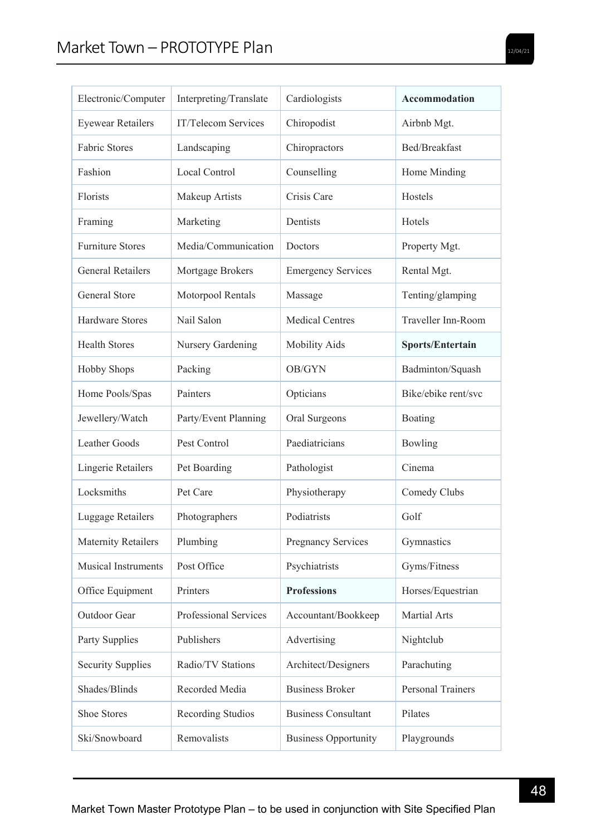| Electronic/Computer        | Interpreting/Translate     | Cardiologists               | <b>Accommodation</b>     |
|----------------------------|----------------------------|-----------------------------|--------------------------|
| <b>Eyewear Retailers</b>   | <b>IT/Telecom Services</b> | Chiropodist                 | Airbnb Mgt.              |
| <b>Fabric Stores</b>       | Landscaping                | Chiropractors               | <b>Bed/Breakfast</b>     |
| Fashion                    | Local Control              | Counselling                 | Home Minding             |
| Florists                   | Makeup Artists             | Crisis Care                 | Hostels                  |
| Framing                    | Marketing                  | Dentists                    | Hotels                   |
| <b>Furniture Stores</b>    | Media/Communication        | Doctors                     | Property Mgt.            |
| <b>General Retailers</b>   | Mortgage Brokers           | <b>Emergency Services</b>   | Rental Mgt.              |
| <b>General Store</b>       | Motorpool Rentals          | Massage                     | Tenting/glamping         |
| <b>Hardware Stores</b>     | Nail Salon                 | <b>Medical Centres</b>      | Traveller Inn-Room       |
| <b>Health Stores</b>       | Nursery Gardening          | <b>Mobility Aids</b>        | <b>Sports/Entertain</b>  |
| <b>Hobby Shops</b>         | Packing                    | OB/GYN                      | Badminton/Squash         |
| Home Pools/Spas            | Painters                   | Opticians                   | Bike/ebike rent/svc      |
| Jewellery/Watch            | Party/Event Planning       | Oral Surgeons               | Boating                  |
| <b>Leather Goods</b>       | Pest Control               | Paediatricians              | Bowling                  |
| Lingerie Retailers         | Pet Boarding               | Pathologist                 | Cinema                   |
| Locksmiths                 | Pet Care                   | Physiotherapy               | Comedy Clubs             |
| Luggage Retailers          | Photographers              | Podiatrists                 | Golf                     |
| <b>Maternity Retailers</b> | Plumbing                   | <b>Pregnancy Services</b>   | Gymnastics               |
| <b>Musical Instruments</b> | Post Office                | Psychiatrists               | Gyms/Fitness             |
| Office Equipment           | Printers                   | <b>Professions</b>          | Horses/Equestrian        |
| Outdoor Gear               | Professional Services      | Accountant/Bookkeep         | Martial Arts             |
| Party Supplies             | Publishers                 | Advertising                 | Nightclub                |
| <b>Security Supplies</b>   | Radio/TV Stations          | Architect/Designers         | Parachuting              |
| Shades/Blinds              | Recorded Media             | <b>Business Broker</b>      | <b>Personal Trainers</b> |
| Shoe Stores                | Recording Studios          | <b>Business Consultant</b>  | Pilates                  |
| Ski/Snowboard              | Removalists                | <b>Business Opportunity</b> | Playgrounds              |